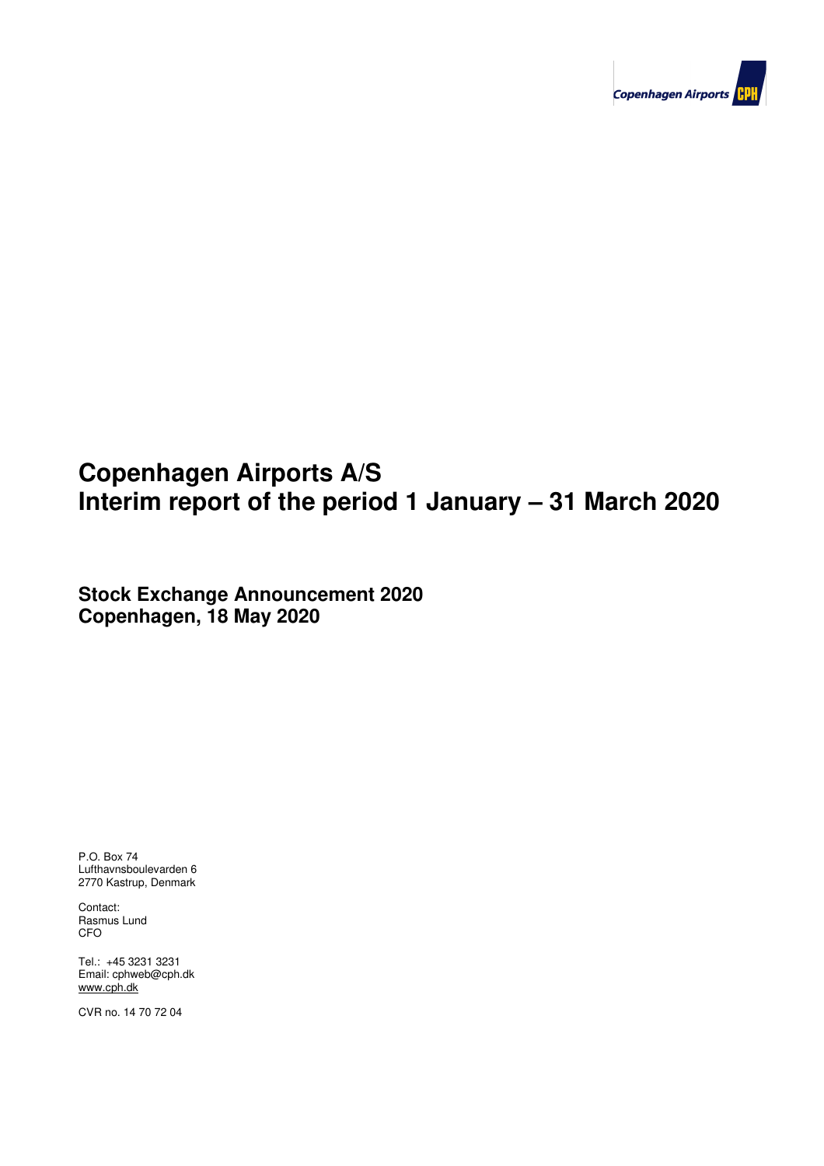

# **Copenhagen Airports A/S Interim report of the period 1 January – 31 March 2020**

**Stock Exchange Announcement 2020 Copenhagen, 18 May 2020**

P.O. Box 74 Lufthavnsboulevarden 6 2770 Kastrup, Denmark

Contact: Rasmus Lund CFO

Tel.: +45 3231 3231 Email: cphweb@cph.dk www.cph.dk

CVR no. 14 70 72 04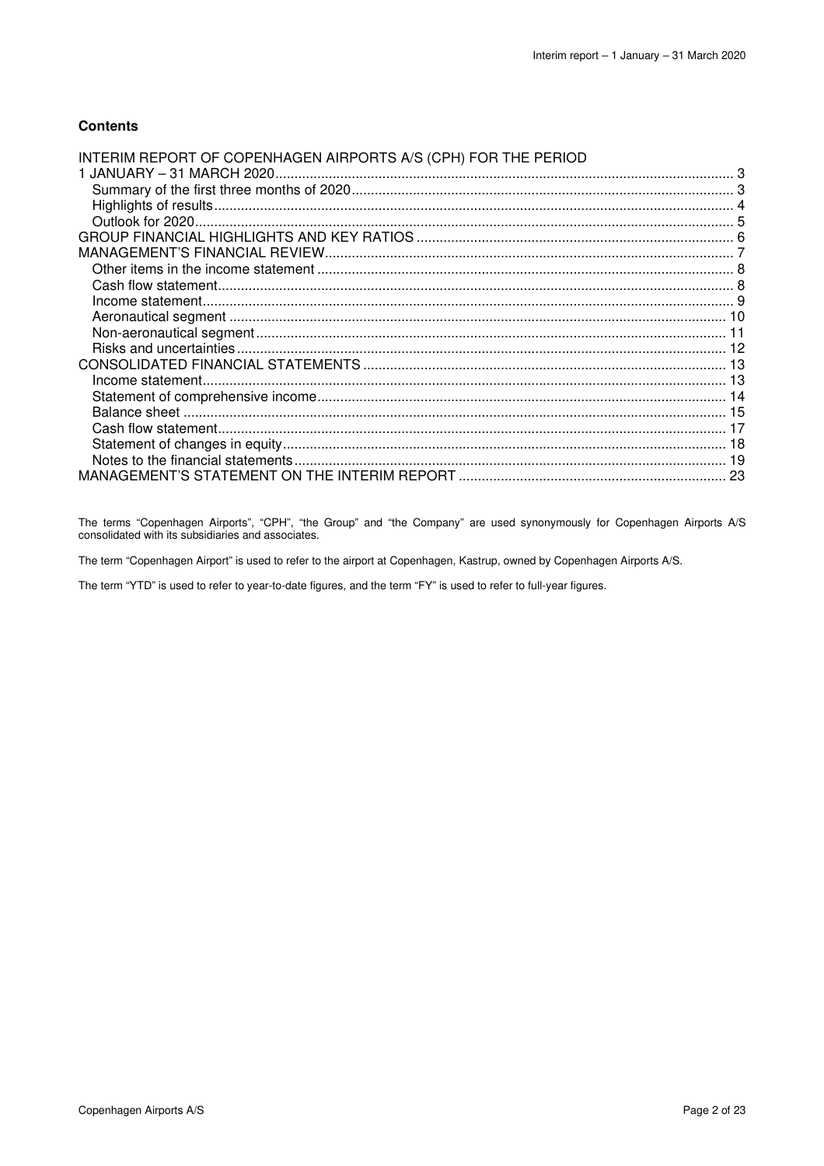### **Contents**

| INTERIM REPORT OF COPENHAGEN AIRPORTS A/S (CPH) FOR THE PERIOD |  |
|----------------------------------------------------------------|--|
|                                                                |  |
|                                                                |  |
|                                                                |  |
|                                                                |  |
|                                                                |  |
|                                                                |  |
|                                                                |  |
|                                                                |  |
|                                                                |  |
|                                                                |  |
|                                                                |  |
|                                                                |  |
|                                                                |  |
|                                                                |  |
|                                                                |  |
|                                                                |  |
|                                                                |  |
|                                                                |  |
|                                                                |  |
|                                                                |  |

The terms "Copenhagen Airports", "CPH", "the Group" and "the Company" are used synonymously for Copenhagen Airports A/S consolidated with its subsidiaries and associates.

The term "Copenhagen Airport" is used to refer to the airport at Copenhagen, Kastrup, owned by Copenhagen Airports A/S.

The term "YTD" is used to refer to year-to-date figures, and the term "FY" is used to refer to full-year figures.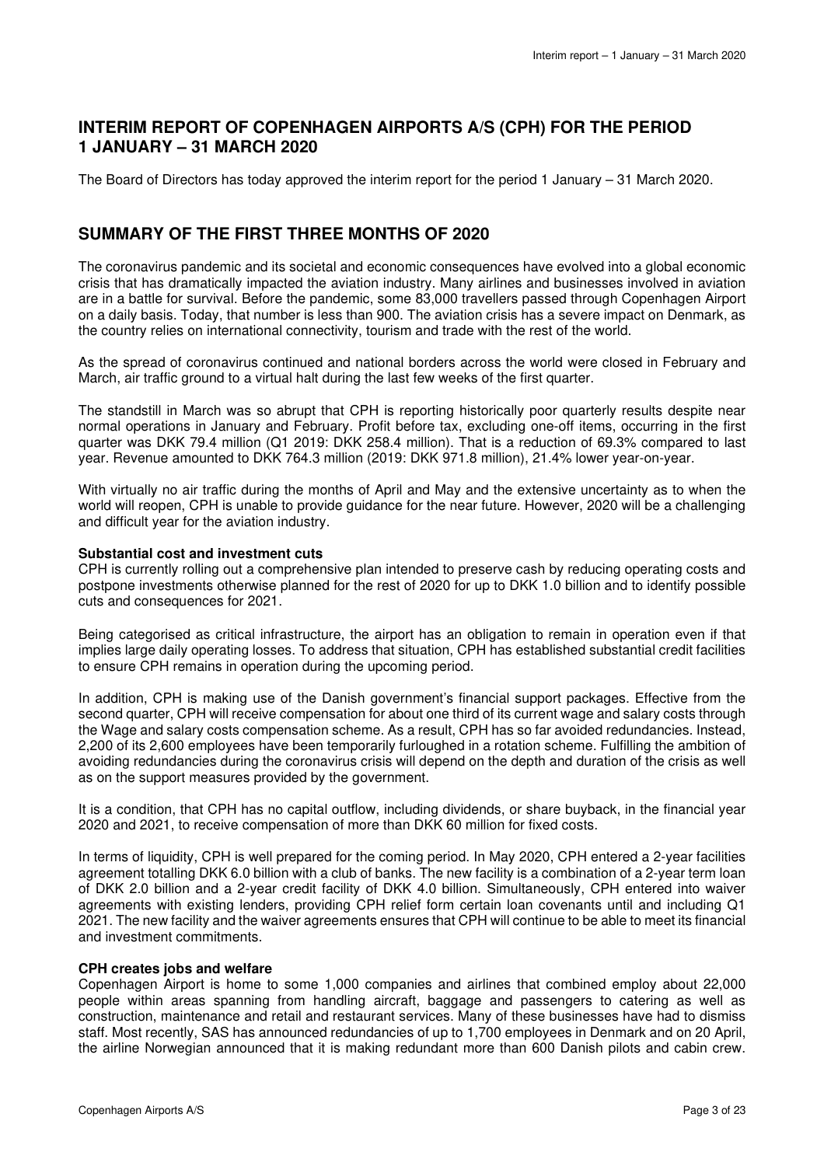### **INTERIM REPORT OF COPENHAGEN AIRPORTS A/S (CPH) FOR THE PERIOD 1 JANUARY – 31 MARCH 2020**

The Board of Directors has today approved the interim report for the period 1 January – 31 March 2020.

### **SUMMARY OF THE FIRST THREE MONTHS OF 2020**

The coronavirus pandemic and its societal and economic consequences have evolved into a global economic crisis that has dramatically impacted the aviation industry. Many airlines and businesses involved in aviation are in a battle for survival. Before the pandemic, some 83,000 travellers passed through Copenhagen Airport on a daily basis. Today, that number is less than 900. The aviation crisis has a severe impact on Denmark, as the country relies on international connectivity, tourism and trade with the rest of the world.

As the spread of coronavirus continued and national borders across the world were closed in February and March, air traffic ground to a virtual halt during the last few weeks of the first quarter.

The standstill in March was so abrupt that CPH is reporting historically poor quarterly results despite near normal operations in January and February. Profit before tax, excluding one-off items, occurring in the first quarter was DKK 79.4 million (Q1 2019: DKK 258.4 million). That is a reduction of 69.3% compared to last year. Revenue amounted to DKK 764.3 million (2019: DKK 971.8 million), 21.4% lower year-on-year.

With virtually no air traffic during the months of April and May and the extensive uncertainty as to when the world will reopen, CPH is unable to provide guidance for the near future. However, 2020 will be a challenging and difficult year for the aviation industry.

### **Substantial cost and investment cuts**

CPH is currently rolling out a comprehensive plan intended to preserve cash by reducing operating costs and postpone investments otherwise planned for the rest of 2020 for up to DKK 1.0 billion and to identify possible cuts and consequences for 2021.

Being categorised as critical infrastructure, the airport has an obligation to remain in operation even if that implies large daily operating losses. To address that situation, CPH has established substantial credit facilities to ensure CPH remains in operation during the upcoming period.

In addition, CPH is making use of the Danish government's financial support packages. Effective from the second quarter, CPH will receive compensation for about one third of its current wage and salary costs through the Wage and salary costs compensation scheme. As a result, CPH has so far avoided redundancies. Instead, 2,200 of its 2,600 employees have been temporarily furloughed in a rotation scheme. Fulfilling the ambition of avoiding redundancies during the coronavirus crisis will depend on the depth and duration of the crisis as well as on the support measures provided by the government.

It is a condition, that CPH has no capital outflow, including dividends, or share buyback, in the financial year 2020 and 2021, to receive compensation of more than DKK 60 million for fixed costs.

In terms of liquidity, CPH is well prepared for the coming period. In May 2020, CPH entered a 2-year facilities agreement totalling DKK 6.0 billion with a club of banks. The new facility is a combination of a 2-year term loan of DKK 2.0 billion and a 2-year credit facility of DKK 4.0 billion. Simultaneously, CPH entered into waiver agreements with existing lenders, providing CPH relief form certain loan covenants until and including Q1 2021. The new facility and the waiver agreements ensures that CPH will continue to be able to meet its financial and investment commitments.

### **CPH creates jobs and welfare**

Copenhagen Airport is home to some 1,000 companies and airlines that combined employ about 22,000 people within areas spanning from handling aircraft, baggage and passengers to catering as well as construction, maintenance and retail and restaurant services. Many of these businesses have had to dismiss staff. Most recently, SAS has announced redundancies of up to 1,700 employees in Denmark and on 20 April, the airline Norwegian announced that it is making redundant more than 600 Danish pilots and cabin crew.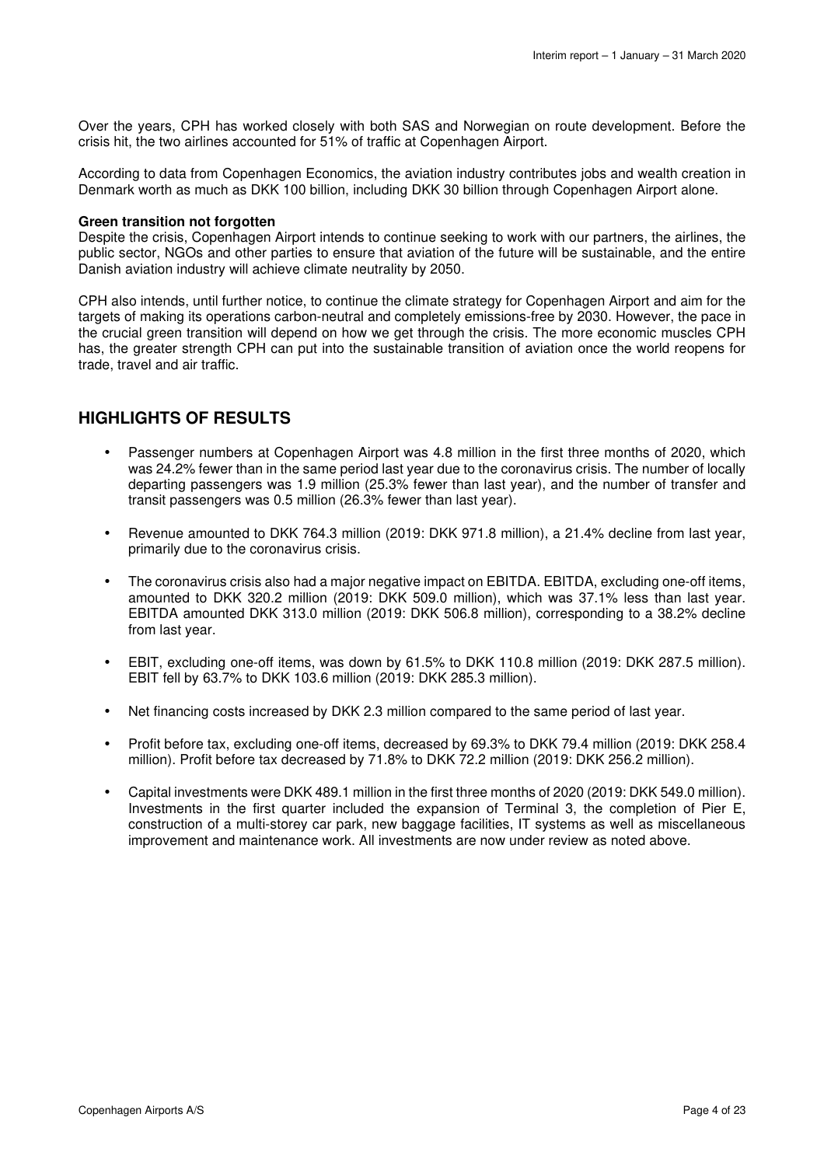Over the years, CPH has worked closely with both SAS and Norwegian on route development. Before the crisis hit, the two airlines accounted for 51% of traffic at Copenhagen Airport.

According to data from Copenhagen Economics, the aviation industry contributes jobs and wealth creation in Denmark worth as much as DKK 100 billion, including DKK 30 billion through Copenhagen Airport alone.

### **Green transition not forgotten**

Despite the crisis, Copenhagen Airport intends to continue seeking to work with our partners, the airlines, the public sector, NGOs and other parties to ensure that aviation of the future will be sustainable, and the entire Danish aviation industry will achieve climate neutrality by 2050.

CPH also intends, until further notice, to continue the climate strategy for Copenhagen Airport and aim for the targets of making its operations carbon-neutral and completely emissions-free by 2030. However, the pace in the crucial green transition will depend on how we get through the crisis. The more economic muscles CPH has, the greater strength CPH can put into the sustainable transition of aviation once the world reopens for trade, travel and air traffic.

### **HIGHLIGHTS OF RESULTS**

- Passenger numbers at Copenhagen Airport was 4.8 million in the first three months of 2020, which was 24.2% fewer than in the same period last year due to the coronavirus crisis. The number of locally departing passengers was 1.9 million (25.3% fewer than last year), and the number of transfer and transit passengers was 0.5 million (26.3% fewer than last year).
- Revenue amounted to DKK 764.3 million (2019: DKK 971.8 million), a 21.4% decline from last year, primarily due to the coronavirus crisis.
- The coronavirus crisis also had a major negative impact on EBITDA. EBITDA, excluding one-off items, amounted to DKK 320.2 million (2019: DKK 509.0 million), which was 37.1% less than last year. EBITDA amounted DKK 313.0 million (2019: DKK 506.8 million), corresponding to a 38.2% decline from last year.
- EBIT, excluding one-off items, was down by 61.5% to DKK 110.8 million (2019: DKK 287.5 million). EBIT fell by 63.7% to DKK 103.6 million (2019: DKK 285.3 million).
- Net financing costs increased by DKK 2.3 million compared to the same period of last year.
- Profit before tax, excluding one-off items, decreased by 69.3% to DKK 79.4 million (2019: DKK 258.4 million). Profit before tax decreased by 71.8% to DKK 72.2 million (2019: DKK 256.2 million).
- Capital investments were DKK 489.1 million in the first three months of 2020 (2019: DKK 549.0 million). Investments in the first quarter included the expansion of Terminal 3, the completion of Pier E, construction of a multi-storey car park, new baggage facilities, IT systems as well as miscellaneous improvement and maintenance work. All investments are now under review as noted above.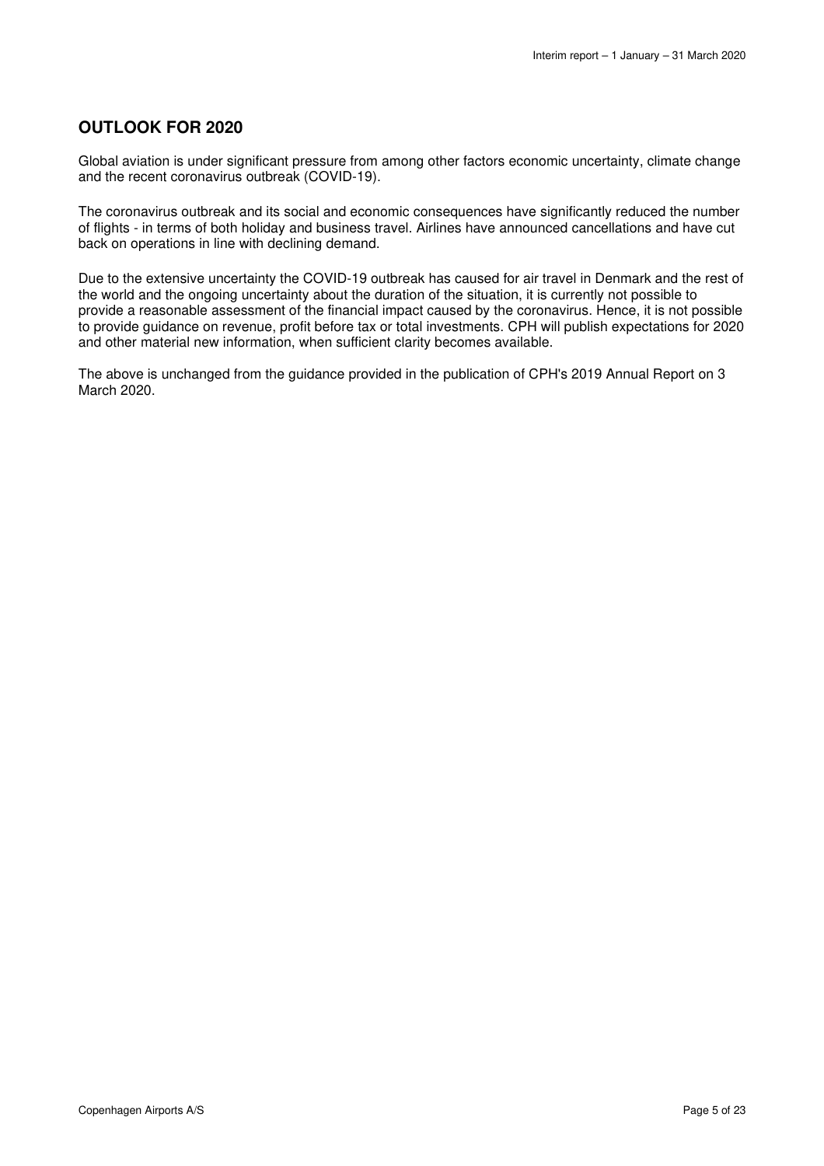### **OUTLOOK FOR 2020**

Global aviation is under significant pressure from among other factors economic uncertainty, climate change and the recent coronavirus outbreak (COVID-19).

The coronavirus outbreak and its social and economic consequences have significantly reduced the number of flights - in terms of both holiday and business travel. Airlines have announced cancellations and have cut back on operations in line with declining demand.

Due to the extensive uncertainty the COVID-19 outbreak has caused for air travel in Denmark and the rest of the world and the ongoing uncertainty about the duration of the situation, it is currently not possible to provide a reasonable assessment of the financial impact caused by the coronavirus. Hence, it is not possible to provide guidance on revenue, profit before tax or total investments. CPH will publish expectations for 2020 and other material new information, when sufficient clarity becomes available.

The above is unchanged from the guidance provided in the publication of CPH's 2019 Annual Report on 3 March 2020.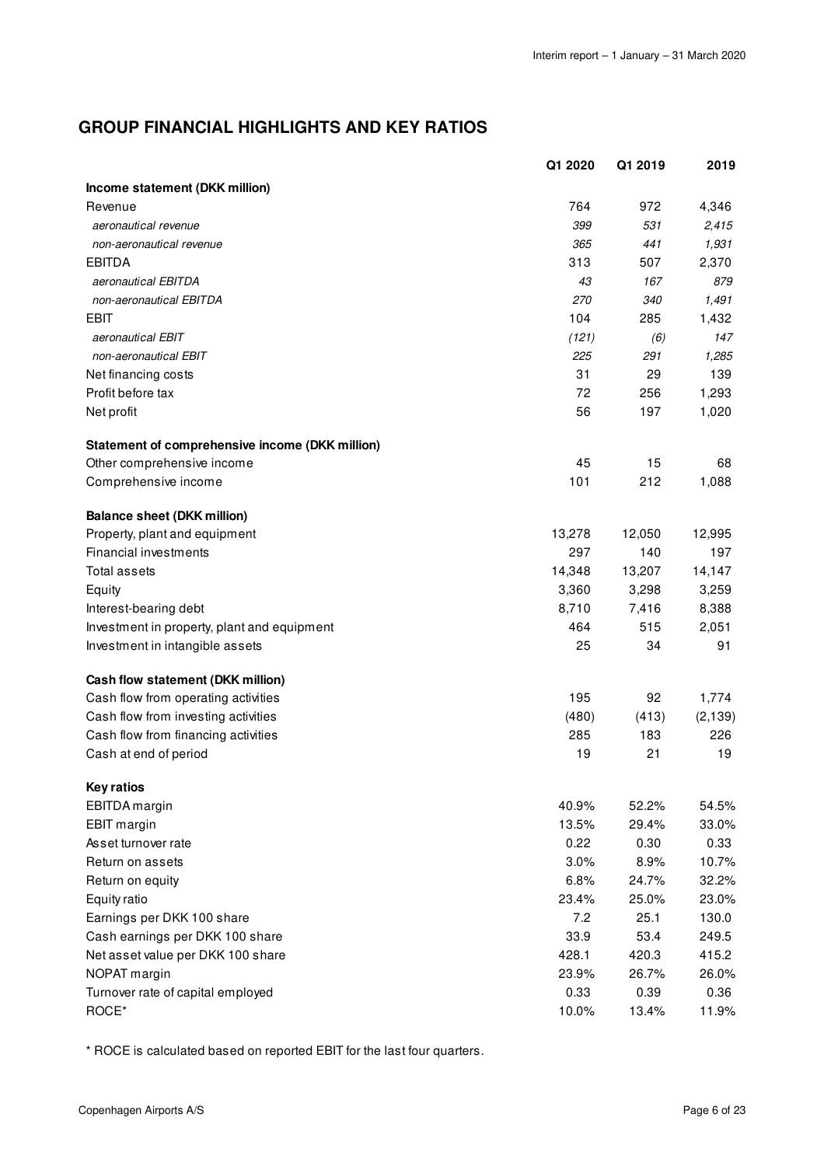# **GROUP FINANCIAL HIGHLIGHTS AND KEY RATIOS**

|                                                 | Q1 2020 | Q1 2019 | 2019     |
|-------------------------------------------------|---------|---------|----------|
| Income statement (DKK million)                  |         |         |          |
| Revenue                                         | 764     | 972     | 4,346    |
| aeronautical revenue                            | 399     | 531     | 2,415    |
| non-aeronautical revenue                        | 365     | 441     | 1,931    |
| <b>EBITDA</b>                                   | 313     | 507     | 2,370    |
| aeronautical EBITDA                             | 43      | 167     | 879      |
| non-aeronautical EBITDA                         | 270     | 340     | 1,491    |
| EBIT                                            | 104     | 285     | 1,432    |
| aeronautical EBIT                               | (121)   | (6)     | 147      |
| non-aeronautical EBIT                           | 225     | 291     | 1,285    |
| Net financing costs                             | 31      | 29      | 139      |
| Profit before tax                               | 72      | 256     | 1,293    |
| Net profit                                      | 56      | 197     | 1,020    |
| Statement of comprehensive income (DKK million) |         |         |          |
| Other comprehensive income                      | 45      | 15      | 68       |
| Comprehensive income                            | 101     | 212     | 1,088    |
| <b>Balance sheet (DKK million)</b>              |         |         |          |
| Property, plant and equipment                   | 13,278  | 12,050  | 12,995   |
| Financial investments                           | 297     | 140     | 197      |
| <b>Total assets</b>                             | 14,348  | 13,207  | 14,147   |
| Equity                                          | 3,360   | 3,298   | 3,259    |
| Interest-bearing debt                           | 8,710   | 7,416   | 8,388    |
| Investment in property, plant and equipment     | 464     | 515     | 2,051    |
| Investment in intangible assets                 | 25      | 34      | 91       |
| Cash flow statement (DKK million)               |         |         |          |
| Cash flow from operating activities             | 195     | 92      | 1,774    |
| Cash flow from investing activities             | (480)   | (413)   | (2, 139) |
| Cash flow from financing activities             | 285     | 183     | 226      |
| Cash at end of period                           | 19      | 21      | 19       |
| <b>Key ratios</b>                               |         |         |          |
| EBITDA margin                                   | 40.9%   | 52.2%   | 54.5%    |
| <b>EBIT</b> margin                              | 13.5%   | 29.4%   | 33.0%    |
| Asset turnover rate                             | 0.22    | 0.30    | 0.33     |
| Return on assets                                | 3.0%    | 8.9%    | 10.7%    |
| Return on equity                                | 6.8%    | 24.7%   | 32.2%    |
| Equity ratio                                    | 23.4%   | 25.0%   | 23.0%    |
| Earnings per DKK 100 share                      | 7.2     | 25.1    | 130.0    |
| Cash earnings per DKK 100 share                 | 33.9    | 53.4    | 249.5    |
| Net asset value per DKK 100 share               | 428.1   | 420.3   | 415.2    |
| NOPAT margin                                    | 23.9%   | 26.7%   | 26.0%    |
| Turnover rate of capital employed               | 0.33    | 0.39    | 0.36     |
| ROCE*                                           | 10.0%   | 13.4%   | 11.9%    |

\* ROCE is calculated based on reported EBIT for the last four quarters.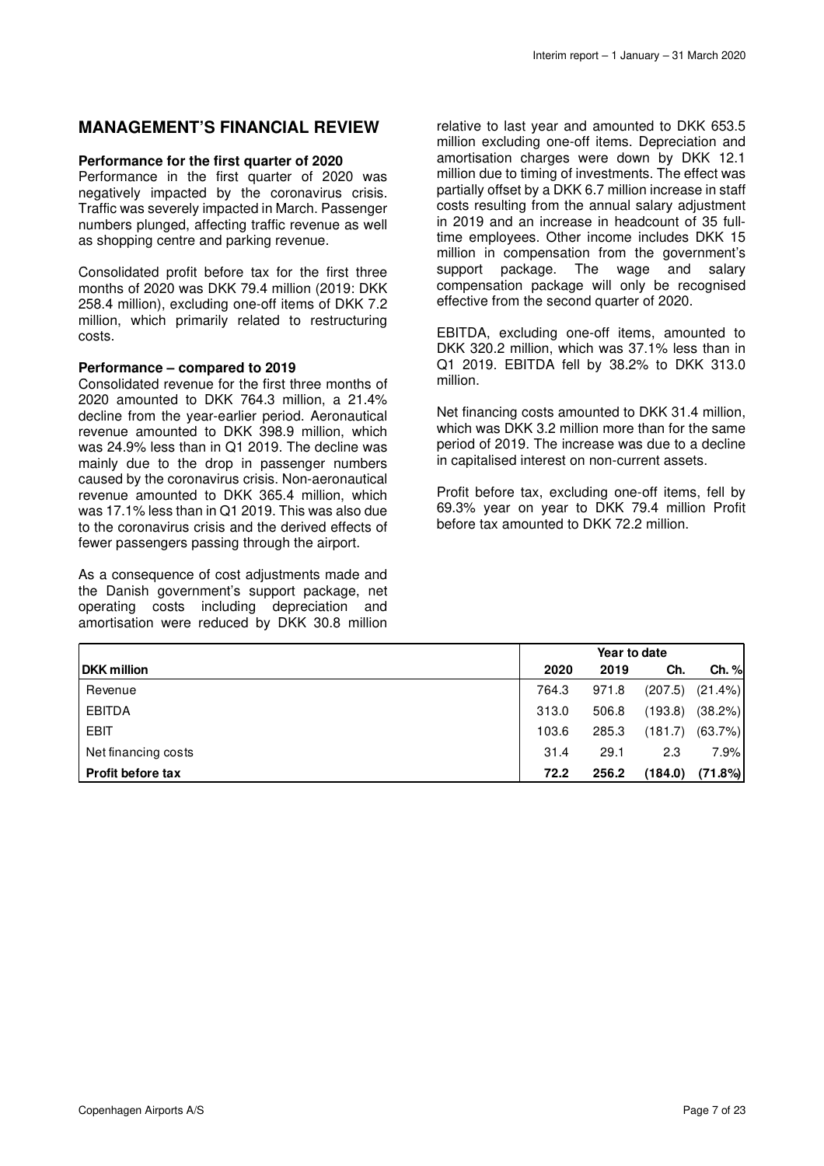### **MANAGEMENT'S FINANCIAL REVIEW**

### **Performance for the first quarter of 2020**

Performance in the first quarter of 2020 was negatively impacted by the coronavirus crisis. Traffic was severely impacted in March. Passenger numbers plunged, affecting traffic revenue as well as shopping centre and parking revenue.

Consolidated profit before tax for the first three months of 2020 was DKK 79.4 million (2019: DKK 258.4 million), excluding one-off items of DKK 7.2 million, which primarily related to restructuring costs.

### **Performance – compared to 2019**

Consolidated revenue for the first three months of 2020 amounted to DKK 764.3 million, a 21.4% decline from the year-earlier period. Aeronautical revenue amounted to DKK 398.9 million, which was 24.9% less than in Q1 2019. The decline was mainly due to the drop in passenger numbers caused by the coronavirus crisis. Non-aeronautical revenue amounted to DKK 365.4 million, which was 17.1% less than in Q1 2019. This was also due to the coronavirus crisis and the derived effects of fewer passengers passing through the airport.

As a consequence of cost adjustments made and the Danish government's support package, net operating costs including depreciation and amortisation were reduced by DKK 30.8 million

relative to last year and amounted to DKK 653.5 million excluding one-off items. Depreciation and amortisation charges were down by DKK 12.1 million due to timing of investments. The effect was partially offset by a DKK 6.7 million increase in staff costs resulting from the annual salary adjustment in 2019 and an increase in headcount of 35 fulltime employees. Other income includes DKK 15 million in compensation from the government's support package. The wage and salary compensation package will only be recognised effective from the second quarter of 2020.

EBITDA, excluding one-off items, amounted to DKK 320.2 million, which was 37.1% less than in Q1 2019. EBITDA fell by 38.2% to DKK 313.0 million.

Net financing costs amounted to DKK 31.4 million, which was DKK 3.2 million more than for the same period of 2019. The increase was due to a decline in capitalised interest on non-current assets.

Profit before tax, excluding one-off items, fell by 69.3% year on year to DKK 79.4 million Profit before tax amounted to DKK 72.2 million.

|                          | Year to date |       |         |            |
|--------------------------|--------------|-------|---------|------------|
| <b>DKK million</b>       | 2020         | 2019  | Ch.     | Ch. %      |
| Revenue                  | 764.3        | 971.8 | (207.5) | $(21.4\%)$ |
| <b>EBITDA</b>            | 313.0        | 506.8 | (193.8) | (38.2%)    |
| EBIT                     | 103.6        | 285.3 | (181.7) | (63.7%)    |
| Net financing costs      | 31.4         | 29.1  | 2.3     | 7.9%       |
| <b>Profit before tax</b> | 72.2         | 256.2 | (184.0) | (71.8%)    |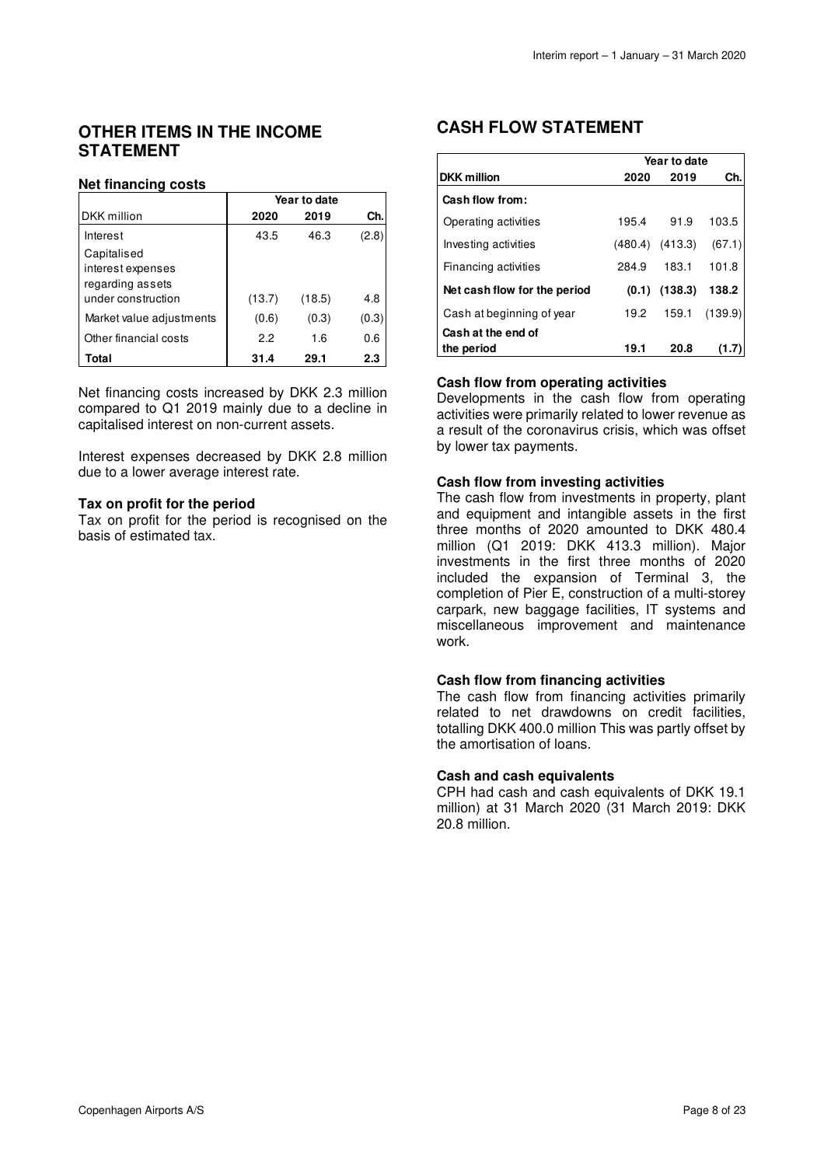### **OTHER ITEMS IN THE INCOME STATEMENT**

### **Net financing costs**

|                          | Year to date |        |       |  |  |
|--------------------------|--------------|--------|-------|--|--|
| DKK million              | 2020         | 2019   | Ch.   |  |  |
| Interest                 | 43.5         | 46.3   | (2.8) |  |  |
| Capitalised              |              |        |       |  |  |
| interest expenses        |              |        |       |  |  |
| regarding assets         |              |        |       |  |  |
| under construction       | (13.7)       | (18.5) | 4.8   |  |  |
| Market value adjustments | (0.6)        | (0.3)  | (0.3) |  |  |
| Other financial costs    | 22           | 1.6    | 0.6   |  |  |
| Total                    | 31.4         | 29.1   | 2.3   |  |  |

Net financing costs increased by DKK 2.3 million compared to Q1 2019 mainly due to a decline in capitalised interest on non-current assets.

Interest expenses decreased by DKK 2.8 million due to a lower average interest rate.

### **Tax on profit for the period**

Tax on profit for the period is recognised on the basis of estimated tax.

### **CASH FLOW STATEMENT**

|                                  | Year to date |         |         |  |  |
|----------------------------------|--------------|---------|---------|--|--|
| <b>DKK</b> million               | 2020         | 2019    | Ch.     |  |  |
| Cash flow from:                  |              |         |         |  |  |
| Operating activities             | 195.4        | 91.9    | 103.5   |  |  |
| Investing activities             | (480.4)      | (413.3) | (67.1)  |  |  |
| Financing activities             | 284.9        | 183.1   | 101.8   |  |  |
| Net cash flow for the period     | (0.1)        | (138.3) | 138.2   |  |  |
| Cash at beginning of year        | 19.2         | 159.1   | (139.9) |  |  |
| Cash at the end of<br>the period | 19.1         | 20.8    |         |  |  |

### **Cash flow from operating activities**

Developments in the cash flow from operating activities were primarily related to lower revenue as a result of the coronavirus crisis, which was offset by lower tax payments.

### **Cash flow from investing activities**

The cash flow from investments in property, plant and equipment and intangible assets in the first three months of 2020 amounted to DKK 480.4 million (Q1 2019: DKK 413.3 million). Major investments in the first three months of 2020 included the expansion of Terminal 3, the completion of Pier E, construction of a multi-storey carpark, new baggage facilities, IT systems and miscellaneous improvement and maintenance work.

### **Cash flow from financing activities**

The cash flow from financing activities primarily related to net drawdowns on credit facilities, totalling DKK 400.0 million This was partly offset by the amortisation of loans.

### **Cash and cash equivalents**

CPH had cash and cash equivalents of DKK 19.1 million) at 31 March 2020 (31 March 2019: DKK 20.8 million.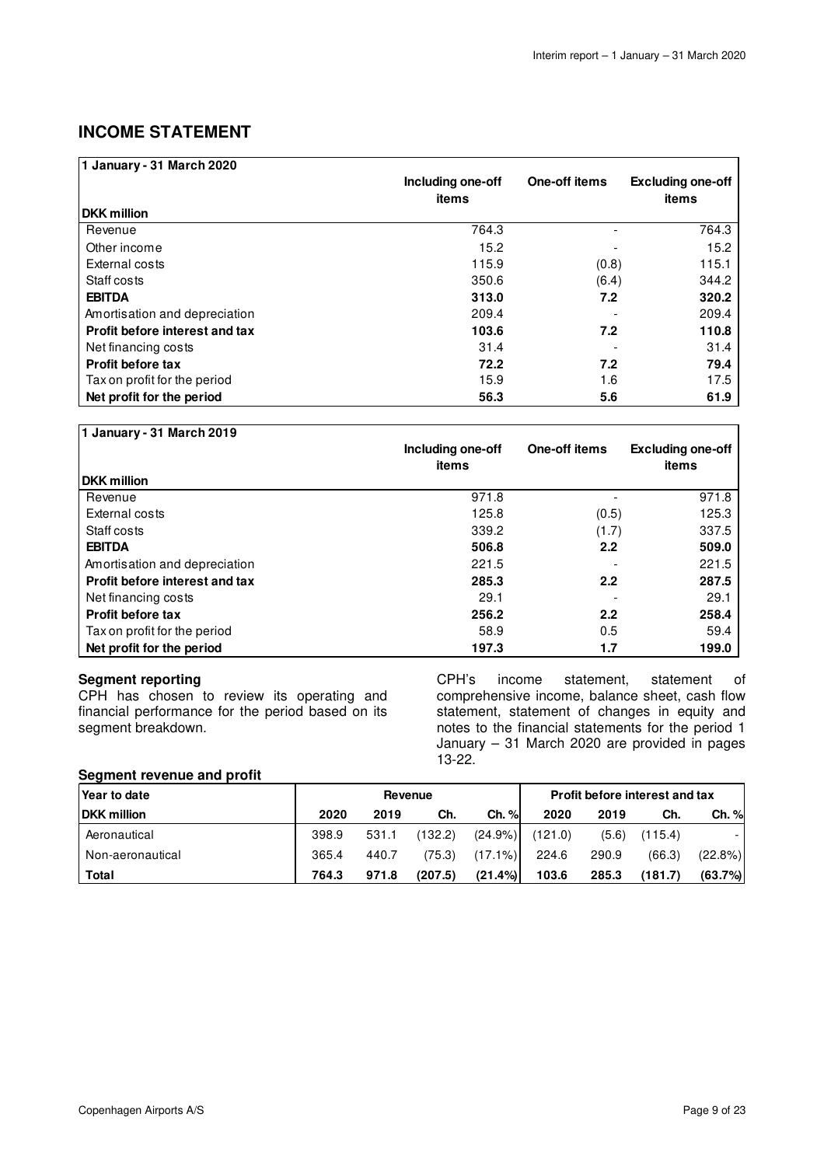# **INCOME STATEMENT**

| 1 January - 31 March 2020      |                   |               |                          |
|--------------------------------|-------------------|---------------|--------------------------|
|                                | Including one-off | One-off items | <b>Excluding one-off</b> |
|                                | items             |               | items                    |
| <b>DKK</b> million             |                   |               |                          |
| Revenue                        | 764.3             |               | 764.3                    |
| Other income                   | 15.2              |               | 15.2                     |
| External costs                 | 115.9             | (0.8)         | 115.1                    |
| Staff costs                    | 350.6             | (6.4)         | 344.2                    |
| <b>EBITDA</b>                  | 313.0             | 7.2           | 320.2                    |
| Amortisation and depreciation  | 209.4             |               | 209.4                    |
| Profit before interest and tax | 103.6             | 7.2           | 110.8                    |
| Net financing costs            | 31.4              |               | 31.4                     |
| <b>Profit before tax</b>       | 72.2              | 7.2           | 79.4                     |
| Tax on profit for the period   | 15.9              | 1.6           | 17.5                     |
| Net profit for the period      | 56.3              | 5.6           | 61.9                     |

| 1 January - 31 March 2019      |                            |               |                                   |
|--------------------------------|----------------------------|---------------|-----------------------------------|
|                                | Including one-off<br>items | One-off items | <b>Excluding one-off</b><br>items |
| <b>DKK</b> million             |                            |               |                                   |
| Revenue                        | 971.8                      |               | 971.8                             |
| External costs                 | 125.8                      | (0.5)         | 125.3                             |
| Staff costs                    | 339.2                      | (1.7)         | 337.5                             |
| <b>EBITDA</b>                  | 506.8                      | 2.2           | 509.0                             |
| Amortisation and depreciation  | 221.5                      |               | 221.5                             |
| Profit before interest and tax | 285.3                      | 2.2           | 287.5                             |
| Net financing costs            | 29.1                       |               | 29.1                              |
| <b>Profit before tax</b>       | 256.2                      | 2.2           | 258.4                             |
| Tax on profit for the period   | 58.9                       | 0.5           | 59.4                              |
| Net profit for the period      | 197.3                      | 1.7           | 199.0                             |

### **Segment reporting**

CPH has chosen to review its operating and financial performance for the period based on its segment breakdown.

CPH's income statement, statement of comprehensive income, balance sheet, cash flow statement, statement of changes in equity and notes to the financial statements for the period 1 January – 31 March 2020 are provided in pages 13-22.

### **Segment revenue and profit**

| Year to date       | Revenue |       |         |            |         | <b>Profit before interest and tax</b> |         |            |
|--------------------|---------|-------|---------|------------|---------|---------------------------------------|---------|------------|
| <b>DKK million</b> | 2020    | 2019  | Ch.     | Ch. %      | 2020    | 2019                                  | Ch.     | Ch. %      |
| Aeronautical       | 398.9   | 531.1 | (132.2) | $(24.9\%)$ | (121.0) | (5.6)                                 | (115.4) |            |
| Non-aeronautical   | 365.4   | 440.7 | (75.3)  | $(17.1\%)$ | 224.6   | 290.9                                 | (66.3)  | $(22.8\%)$ |
| Total              | 764.3   | 971.8 | (207.5) | $(21.4\%)$ | 103.6   | 285.3                                 | (181.7) | (63.7%)    |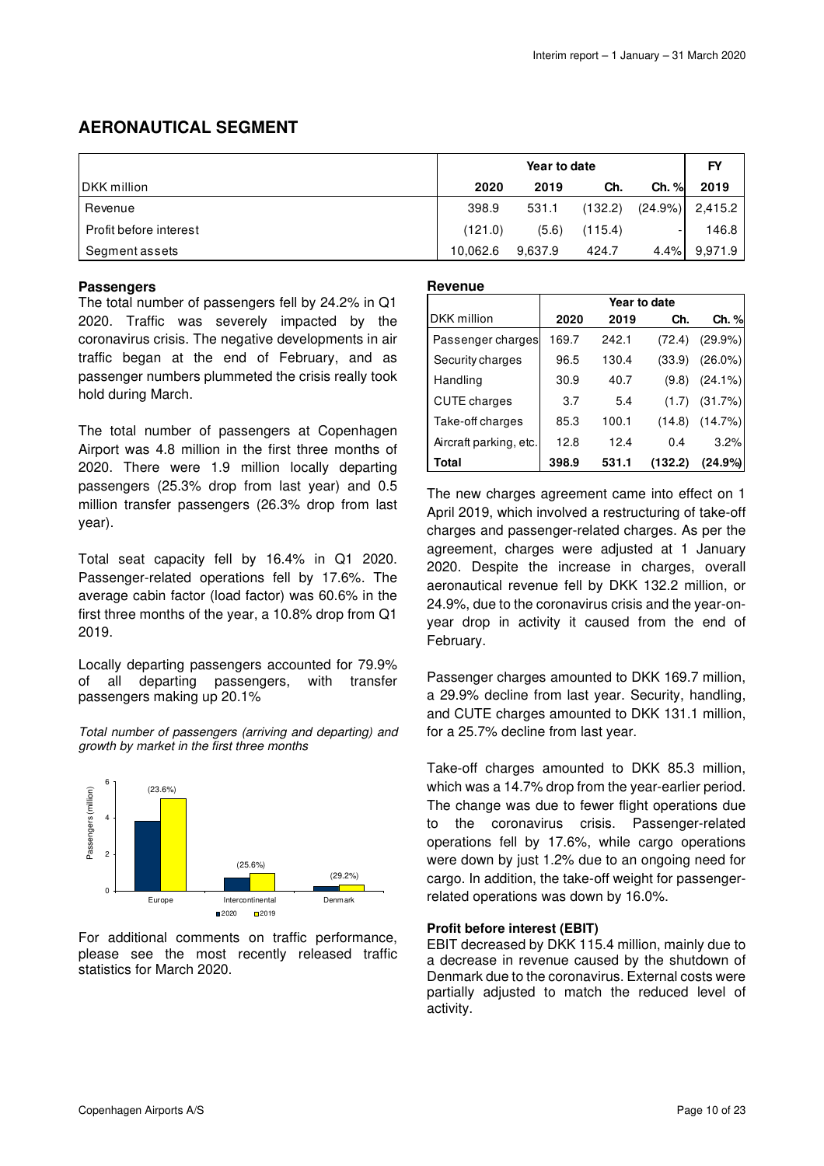# **AERONAUTICAL SEGMENT**

|                        |          | FY      |         |            |         |
|------------------------|----------|---------|---------|------------|---------|
| IDKK million           | 2020     | 2019    | Ch.     | $Ch. \%$   | 2019    |
| Revenue                | 398.9    | 531.1   | (132.2) | $(24.9\%)$ | 2,415.2 |
| Profit before interest | (121.0)  | (5.6)   | (115.4) |            | 146.8   |
| Segment assets         | 10,062.6 | 9,637.9 | 424.7   | 4.4%       | 9,971.9 |

### **Passengers**

The total number of passengers fell by 24.2% in Q1 2020. Traffic was severely impacted by the coronavirus crisis. The negative developments in air traffic began at the end of February, and as passenger numbers plummeted the crisis really took hold during March.

The total number of passengers at Copenhagen Airport was 4.8 million in the first three months of 2020. There were 1.9 million locally departing passengers (25.3% drop from last year) and 0.5 million transfer passengers (26.3% drop from last year).

Total seat capacity fell by 16.4% in Q1 2020. Passenger-related operations fell by 17.6%. The average cabin factor (load factor) was 60.6% in the first three months of the year, a 10.8% drop from Q1 2019.

Locally departing passengers accounted for 79.9% of all departing passengers, with transfer passengers making up 20.1%

Total number of passengers (arriving and departing) and growth by market in the first three months



For additional comments on traffic performance, please see the most recently released traffic statistics for March 2020.

### **Revenue**

|                        | Year to date |       |         |            |  |  |
|------------------------|--------------|-------|---------|------------|--|--|
| DKK million            | 2020         | 2019  | Ch.     | Ch. %      |  |  |
| Passenger charges      | 169.7        | 242.1 | (72.4)  | $(29.9\%)$ |  |  |
| Security charges       | 96.5         | 130.4 | (33.9)  | $(26.0\%)$ |  |  |
| Handling               | 30.9         | 40.7  | (9.8)   | $(24.1\%)$ |  |  |
| <b>CUTE</b> charges    | 3.7          | 5.4   | (1.7)   | (31.7%)    |  |  |
| Take-off charges       | 85.3         | 100.1 | (14.8)  | (14.7%)    |  |  |
| Aircraft parking, etc. | 12.8         | 12.4  | 0.4     | 3.2%       |  |  |
| Total                  | 398.9        | 531.1 | (132.2) | $(24.9\%)$ |  |  |

The new charges agreement came into effect on 1 April 2019, which involved a restructuring of take-off charges and passenger-related charges. As per the agreement, charges were adjusted at 1 January 2020. Despite the increase in charges, overall aeronautical revenue fell by DKK 132.2 million, or 24.9%, due to the coronavirus crisis and the year-onyear drop in activity it caused from the end of February.

Passenger charges amounted to DKK 169.7 million, a 29.9% decline from last year. Security, handling, and CUTE charges amounted to DKK 131.1 million, for a 25.7% decline from last year.

Take-off charges amounted to DKK 85.3 million, which was a 14.7% drop from the year-earlier period. The change was due to fewer flight operations due to the coronavirus crisis. Passenger-related operations fell by 17.6%, while cargo operations were down by just 1.2% due to an ongoing need for cargo. In addition, the take-off weight for passengerrelated operations was down by 16.0%.

### **Profit before interest (EBIT)**

EBIT decreased by DKK 115.4 million, mainly due to a decrease in revenue caused by the shutdown of Denmark due to the coronavirus. External costs were partially adjusted to match the reduced level of activity.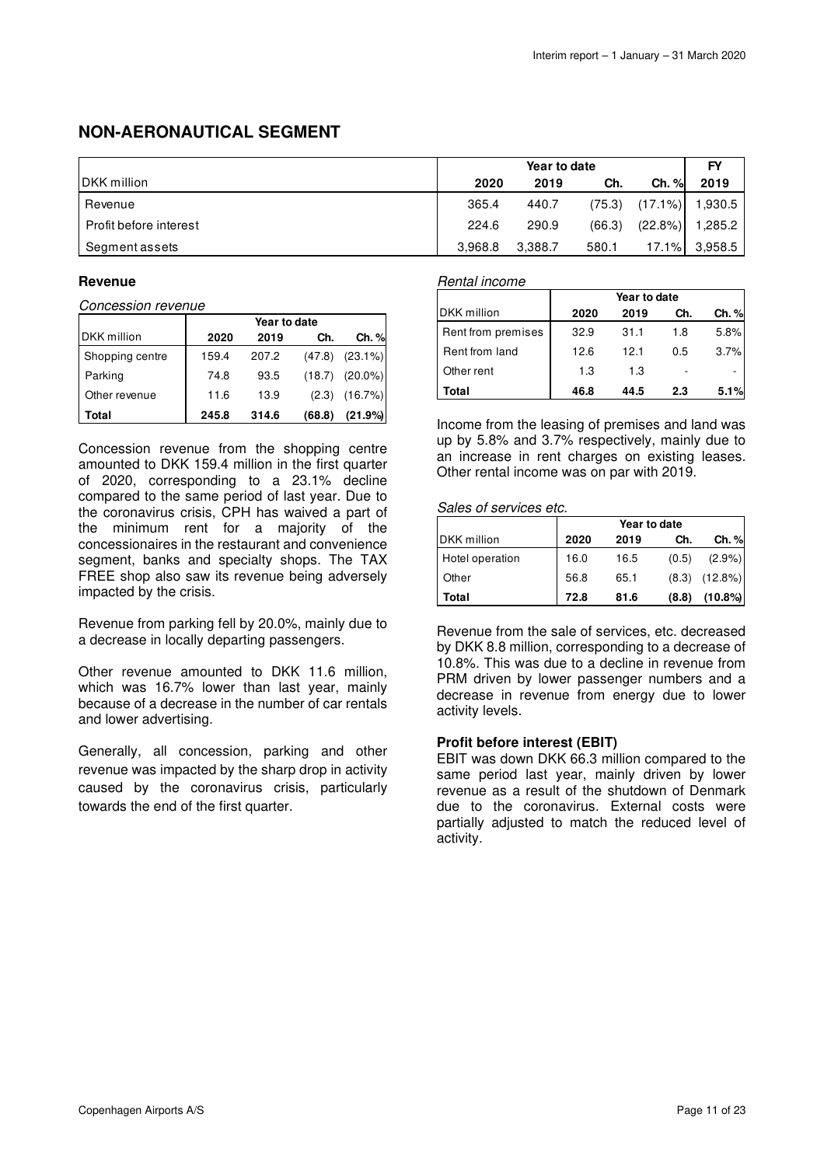### **NON-AERONAUTICAL SEGMENT**

|                        | Year to date |         |        |            | FY      |
|------------------------|--------------|---------|--------|------------|---------|
| <b>IDKK</b> million    | 2020         | 2019    | Ch.    | Ch. %      | 2019    |
| Revenue                | 365.4        | 440.7   | (75.3) | $(17.1\%)$ | 1,930.5 |
| Profit before interest | 224.6        | 290.9   | (66.3) | (22.8%)    | 1,285.2 |
| Segment assets         | 3,968.8      | 3,388.7 | 580.1  | 17.1%      | 3.958.5 |

### **Revenue**

Concession revenue

|                    | Year to date |       |        |            |  |
|--------------------|--------------|-------|--------|------------|--|
| <b>DKK</b> million | 2020         | 2019  | Ch.    | Ch. %      |  |
| Shopping centre    | 159.4        | 207.2 | (47.8) | $(23.1\%)$ |  |
| Parking            | 74.8         | 93.5  | (18.7) | $(20.0\%)$ |  |
| Other revenue      | 11.6         | 13.9  | (2.3)  | (16.7%)    |  |
| Total              | 245.8        | 314.6 | (68.8) | (21.9%     |  |

Concession revenue from the shopping centre amounted to DKK 159.4 million in the first quarter of 2020, corresponding to a 23.1% decline compared to the same period of last year. Due to the coronavirus crisis, CPH has waived a part of the minimum rent for a majority of the concessionaires in the restaurant and convenience segment, banks and specialty shops. The TAX FREE shop also saw its revenue being adversely impacted by the crisis.

Revenue from parking fell by 20.0%, mainly due to a decrease in locally departing passengers.

Other revenue amounted to DKK 11.6 million, which was 16.7% lower than last year, mainly because of a decrease in the number of car rentals and lower advertising.

Generally, all concession, parking and other revenue was impacted by the sharp drop in activity caused by the coronavirus crisis, particularly towards the end of the first quarter.

### Rental income

|                    | Year to date |      |     |       |  |
|--------------------|--------------|------|-----|-------|--|
| DKK million        | 2020         | 2019 | Ch. | Ch. % |  |
| Rent from premises | 32.9         | 31.1 | 1.8 | 5.8%  |  |
| Rent from land     | 12.6         | 12.1 | 0.5 | 3.7%  |  |
| Other rent         | 1.3          | 1.3  |     |       |  |
| Total              | 46.8         | 44.5 | 2.3 | 5.1%  |  |

Income from the leasing of premises and land was up by 5.8% and 3.7% respectively, mainly due to an increase in rent charges on existing leases. Other rental income was on par with 2019.

### Sales of services etc.

|                     |      | Year to date |       |            |  |  |  |
|---------------------|------|--------------|-------|------------|--|--|--|
| <b>IDKK</b> million | 2020 | 2019         | Ch.   | Ch. %      |  |  |  |
| Hotel operation     | 16.0 | 16.5         | (0.5) | $(2.9\%)$  |  |  |  |
| Other               | 56.8 | 65.1         | (8.3) | $(12.8\%)$ |  |  |  |
| Total               | 72.8 | 81.6         | (8.8) | $(10.8\%)$ |  |  |  |

Revenue from the sale of services, etc. decreased by DKK 8.8 million, corresponding to a decrease of 10.8%. This was due to a decline in revenue from PRM driven by lower passenger numbers and a decrease in revenue from energy due to lower activity levels.

### **Profit before interest (EBIT)**

EBIT was down DKK 66.3 million compared to the same period last year, mainly driven by lower revenue as a result of the shutdown of Denmark due to the coronavirus. External costs were partially adjusted to match the reduced level of activity.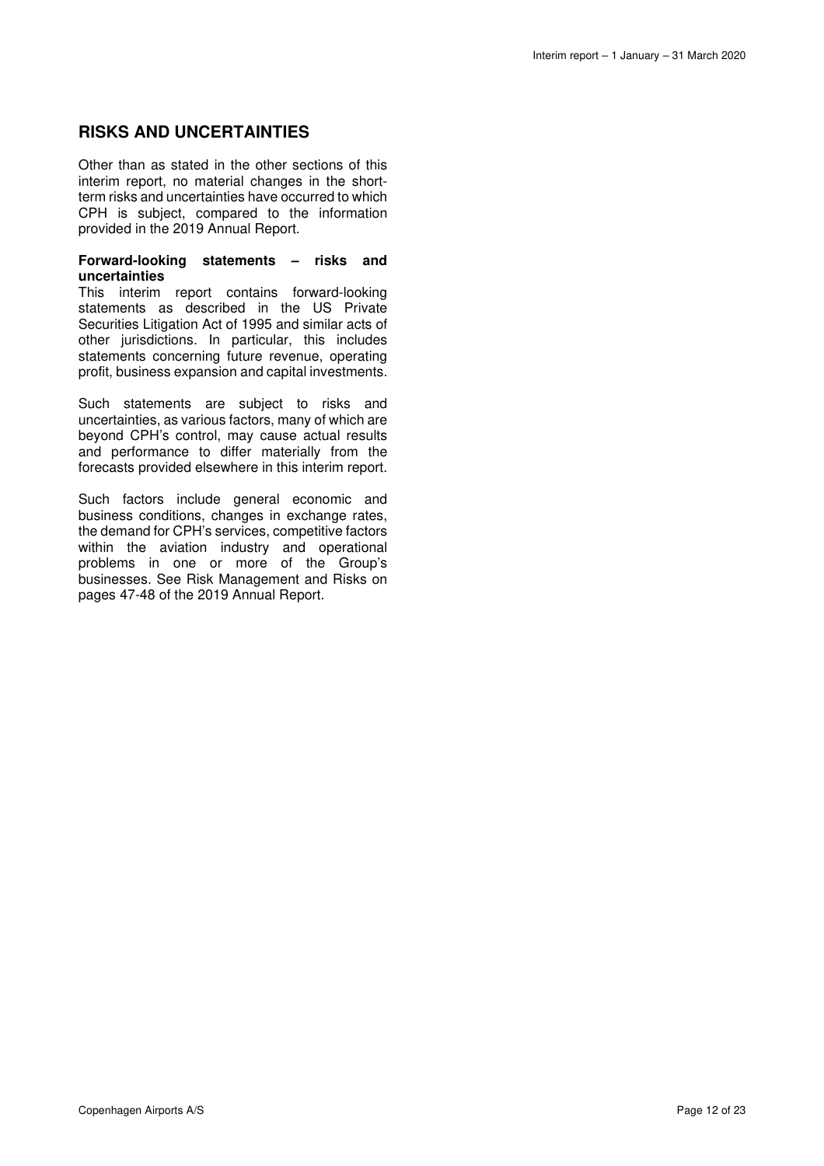### **RISKS AND UNCERTAINTIES**

Other than as stated in the other sections of this interim report, no material changes in the shortterm risks and uncertainties have occurred to which CPH is subject, compared to the information provided in the 2019 Annual Report.

#### **Forward-looking statements – risks and uncertainties**

This interim report contains forward-looking statements as described in the US Private Securities Litigation Act of 1995 and similar acts of other jurisdictions. In particular, this includes statements concerning future revenue, operating profit, business expansion and capital investments.

Such statements are subject to risks and uncertainties, as various factors, many of which are beyond CPH's control, may cause actual results and performance to differ materially from the forecasts provided elsewhere in this interim report.

Such factors include general economic and business conditions, changes in exchange rates, the demand for CPH's services, competitive factors within the aviation industry and operational problems in one or more of the Group's businesses. See Risk Management and Risks on pages 47-48 of the 2019 Annual Report.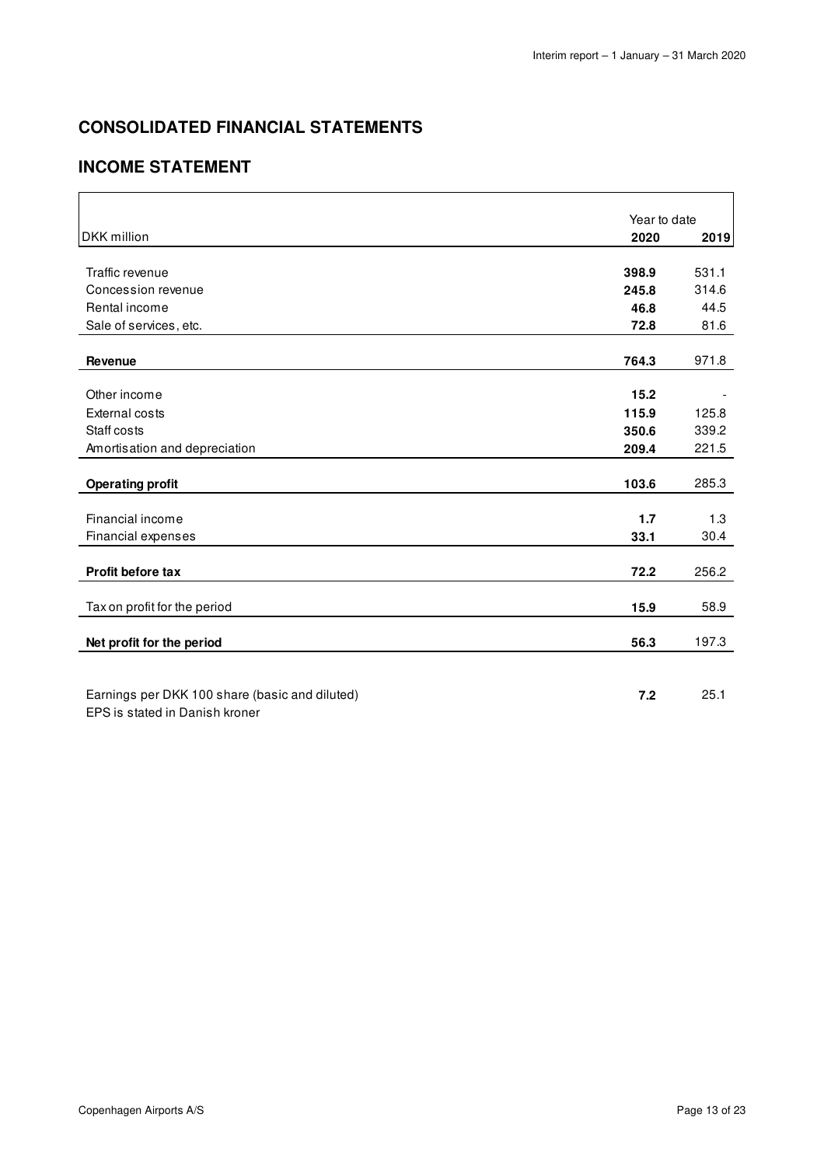# **CONSOLIDATED FINANCIAL STATEMENTS**

# **INCOME STATEMENT**

|                                                | Year to date |       |
|------------------------------------------------|--------------|-------|
| <b>DKK</b> million                             | 2020         | 2019  |
|                                                |              |       |
| Traffic revenue                                | 398.9        | 531.1 |
| Concession revenue                             | 245.8        | 314.6 |
| Rental income                                  | 46.8         | 44.5  |
| Sale of services, etc.                         | 72.8         | 81.6  |
|                                                |              |       |
| Revenue                                        | 764.3        | 971.8 |
|                                                |              |       |
| Other income                                   | 15.2         |       |
| <b>External costs</b>                          | 115.9        | 125.8 |
| Staff costs                                    | 350.6        | 339.2 |
| Amortisation and depreciation                  | 209.4        | 221.5 |
|                                                |              |       |
| <b>Operating profit</b>                        | 103.6        | 285.3 |
| Financial income                               | 1.7          | 1.3   |
| Financial expenses                             | 33.1         | 30.4  |
|                                                |              |       |
| Profit before tax                              | 72.2         | 256.2 |
| Tax on profit for the period                   | 15.9         | 58.9  |
|                                                |              |       |
| Net profit for the period                      | 56.3         | 197.3 |
|                                                |              |       |
| Earnings per DKK 100 share (basic and diluted) | 7.2          | 25.1  |
| EPS is stated in Danish kroner                 |              |       |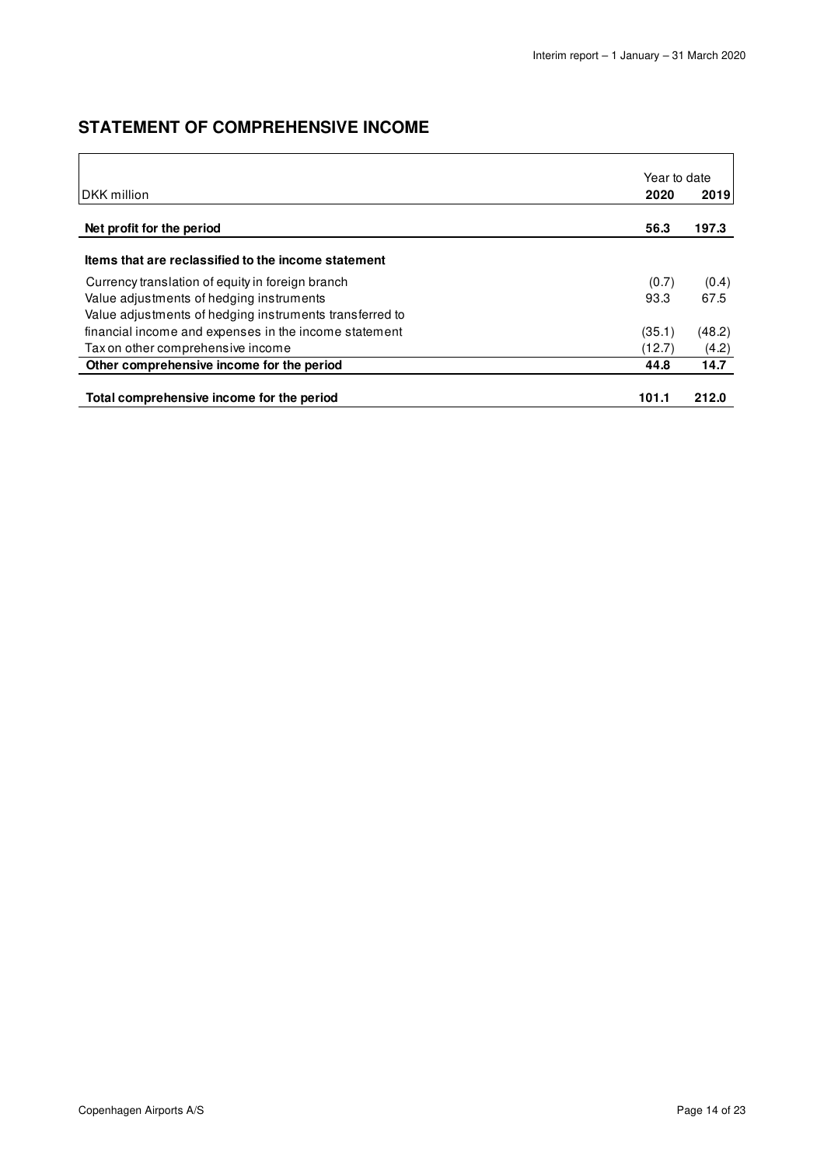# **STATEMENT OF COMPREHENSIVE INCOME**

|                                                         | Year to date |        |
|---------------------------------------------------------|--------------|--------|
| <b>IDKK</b> million                                     | 2020         | 2019   |
| Net profit for the period                               | 56.3         | 197.3  |
| Items that are reclassified to the income statement     |              |        |
| Currency translation of equity in foreign branch        | (0.7)        | (0.4)  |
| Value adjustments of hedging instruments                | 93.3         | 67.5   |
| Value adjustments of hedging instruments transferred to |              |        |
| financial income and expenses in the income statement   | (35.1)       | (48.2) |
| Tax on other comprehensive income                       | (12.7)       | (4.2)  |
| Other comprehensive income for the period               | 44.8         | 14.7   |
| Total comprehensive income for the period               | 101.1        | 212.0  |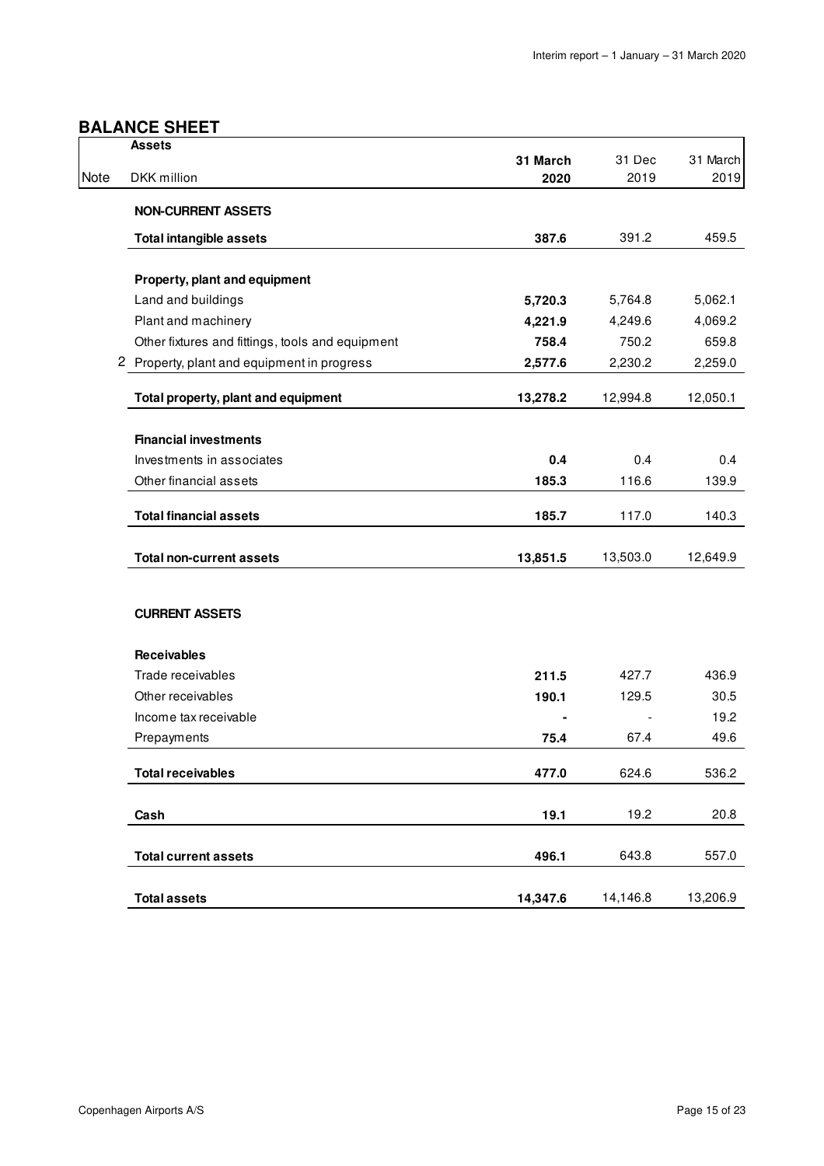### **BALANCE SHEET**

|      | <b>Assets</b>                                    |                  |                |                  |
|------|--------------------------------------------------|------------------|----------------|------------------|
| Note | DKK million                                      | 31 March<br>2020 | 31 Dec<br>2019 | 31 March<br>2019 |
|      |                                                  |                  |                |                  |
|      | <b>NON-CURRENT ASSETS</b>                        |                  |                |                  |
|      | <b>Total intangible assets</b>                   | 387.6            | 391.2          | 459.5            |
|      |                                                  |                  |                |                  |
|      | Property, plant and equipment                    |                  |                |                  |
|      | Land and buildings                               | 5,720.3          | 5,764.8        | 5,062.1          |
|      | Plant and machinery                              | 4,221.9          | 4,249.6        | 4,069.2          |
|      | Other fixtures and fittings, tools and equipment | 758.4            | 750.2          | 659.8            |
|      | 2 Property, plant and equipment in progress      | 2,577.6          | 2,230.2        | 2,259.0          |
|      | Total property, plant and equipment              | 13,278.2         | 12,994.8       | 12,050.1         |
|      |                                                  |                  |                |                  |
|      | <b>Financial investments</b>                     |                  |                |                  |
|      | Investments in associates                        | 0.4              | 0.4            | 0.4              |
|      | Other financial assets                           | 185.3            | 116.6          | 139.9            |
|      | <b>Total financial assets</b>                    | 185.7            | 117.0          | 140.3            |
|      |                                                  |                  | 13,503.0       |                  |
|      | <b>Total non-current assets</b>                  | 13,851.5         |                | 12,649.9         |
|      | <b>CURRENT ASSETS</b>                            |                  |                |                  |
|      | <b>Receivables</b>                               |                  |                |                  |
|      | Trade receivables                                | 211.5            | 427.7          | 436.9            |
|      | Other receivables                                | 190.1            | 129.5          | 30.5             |
|      | Income tax receivable                            |                  |                | 19.2             |
|      | Prepayments                                      | 75.4             | 67.4           | 49.6             |
|      | <b>Total receivables</b>                         | 477.0            | 624.6          | 536.2            |
|      |                                                  |                  |                | 20.8             |
|      | Cash                                             | 19.1             | 19.2           |                  |
|      | <b>Total current assets</b>                      | 496.1            | 643.8          | 557.0            |
|      | <b>Total assets</b>                              | 14,347.6         | 14,146.8       | 13,206.9         |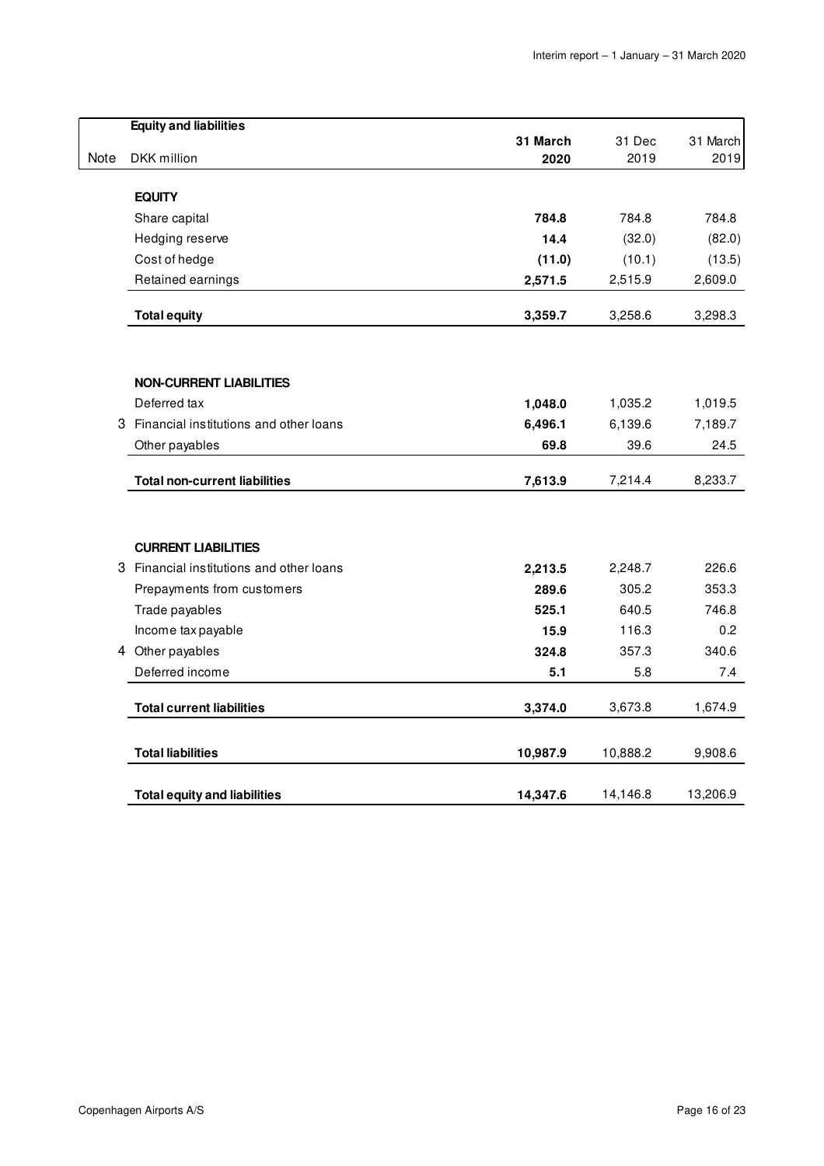|      | <b>Equity and liabilities</b>            |              |          |              |
|------|------------------------------------------|--------------|----------|--------------|
|      |                                          | 31 March     | 31 Dec   | 31 March     |
| Note | DKK million                              | 2020         | 2019     | 2019         |
|      | <b>EQUITY</b>                            |              |          |              |
|      | Share capital                            | 784.8        | 784.8    | 784.8        |
|      | Hedging reserve                          | 14.4         | (32.0)   | (82.0)       |
|      | Cost of hedge                            | (11.0)       | (10.1)   | (13.5)       |
|      | Retained earnings                        | 2,571.5      | 2,515.9  | 2,609.0      |
|      | <b>Total equity</b>                      | 3,359.7      | 3,258.6  | 3,298.3      |
|      |                                          |              |          |              |
|      | <b>NON-CURRENT LIABILITIES</b>           |              |          |              |
|      | Deferred tax                             | 1,048.0      | 1,035.2  | 1,019.5      |
| 3    | Financial institutions and other loans   | 6,496.1      | 6,139.6  | 7,189.7      |
|      | Other payables                           | 69.8         | 39.6     | 24.5         |
|      | <b>Total non-current liabilities</b>     | 7,613.9      | 7,214.4  | 8,233.7      |
|      |                                          |              |          |              |
|      | <b>CURRENT LIABILITIES</b>               |              |          |              |
|      | 3 Financial institutions and other loans | 2,213.5      | 2,248.7  | 226.6        |
|      | Prepayments from customers               | 289.6        | 305.2    | 353.3        |
|      | Trade payables                           | 525.1        | 640.5    | 746.8        |
|      | Income tax payable                       | 15.9         | 116.3    | 0.2          |
|      | 4 Other payables<br>Deferred income      | 324.8<br>5.1 | 357.3    | 340.6<br>7.4 |
|      |                                          |              | 5.8      |              |
|      | <b>Total current liabilities</b>         | 3,374.0      | 3,673.8  | 1,674.9      |
|      | <b>Total liabilities</b>                 | 10,987.9     | 10,888.2 | 9,908.6      |
|      | <b>Total equity and liabilities</b>      | 14,347.6     | 14,146.8 | 13,206.9     |
|      |                                          |              |          |              |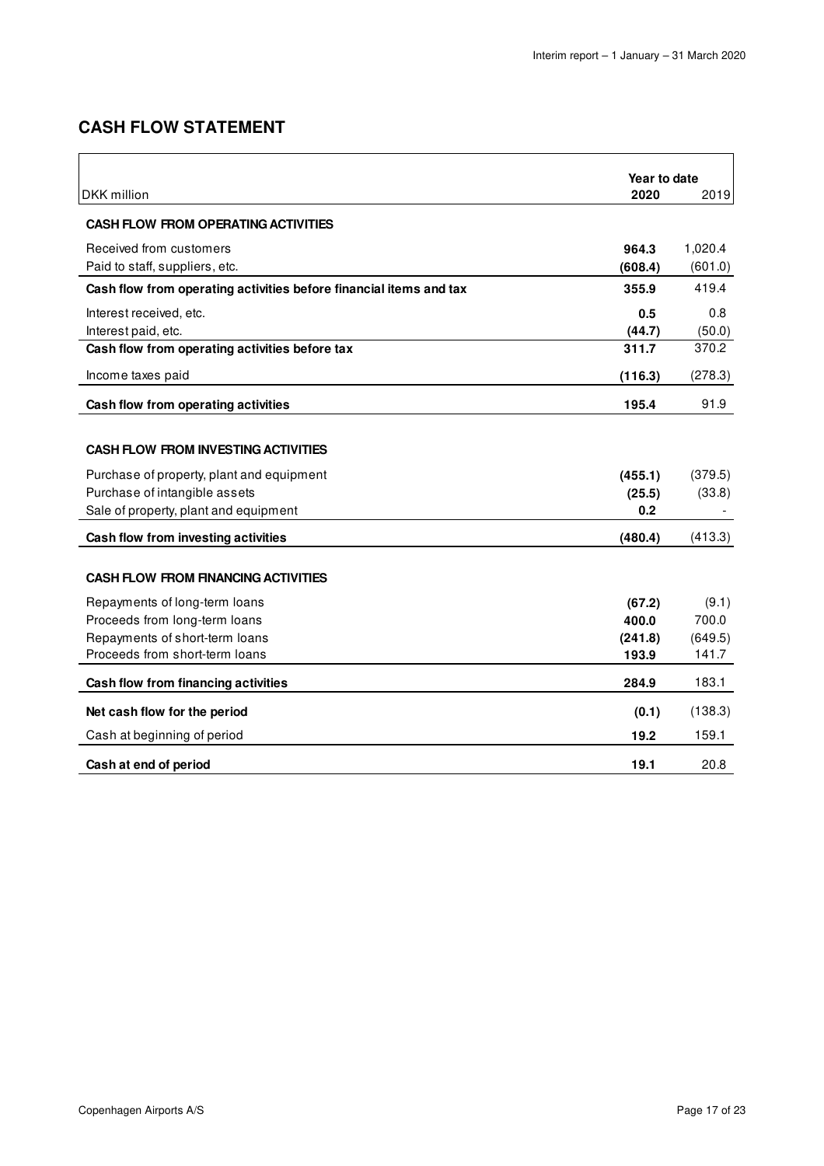# **CASH FLOW STATEMENT**

| DKK million                                                        | Year to date<br>2020 | 2019             |
|--------------------------------------------------------------------|----------------------|------------------|
|                                                                    |                      |                  |
| <b>CASH FLOW FROM OPERATING ACTIVITIES</b>                         |                      |                  |
| Received from customers                                            | 964.3                | 1,020.4          |
| Paid to staff, suppliers, etc.                                     | (608.4)              | (601.0)          |
| Cash flow from operating activities before financial items and tax | 355.9                | 419.4            |
| Interest received, etc.                                            | 0.5                  | 0.8              |
| Interest paid, etc.                                                | (44.7)               | (50.0)           |
| Cash flow from operating activities before tax                     | 311.7                | 370.2            |
| Income taxes paid                                                  | (116.3)              | (278.3)          |
| Cash flow from operating activities                                | 195.4                | 91.9             |
|                                                                    |                      |                  |
| <b>CASH FLOW FROM INVESTING ACTIVITIES</b>                         |                      |                  |
| Purchase of property, plant and equipment                          | (455.1)              | (379.5)          |
| Purchase of intangible assets                                      | (25.5)               | (33.8)           |
| Sale of property, plant and equipment                              | 0.2                  |                  |
| Cash flow from investing activities                                | (480.4)              | (413.3)          |
|                                                                    |                      |                  |
| <b>CASH FLOW FROM FINANCING ACTIVITIES</b>                         |                      |                  |
| Repayments of long-term loans                                      | (67.2)               | (9.1)            |
| Proceeds from long-term loans                                      | 400.0                | 700.0            |
| Repayments of short-term loans<br>Proceeds from short-term loans   | (241.8)<br>193.9     | (649.5)<br>141.7 |
|                                                                    |                      |                  |
| Cash flow from financing activities                                | 284.9                | 183.1            |
| Net cash flow for the period                                       | (0.1)                | (138.3)          |
| Cash at beginning of period                                        | 19.2                 | 159.1            |
| Cash at end of period                                              | 19.1                 | 20.8             |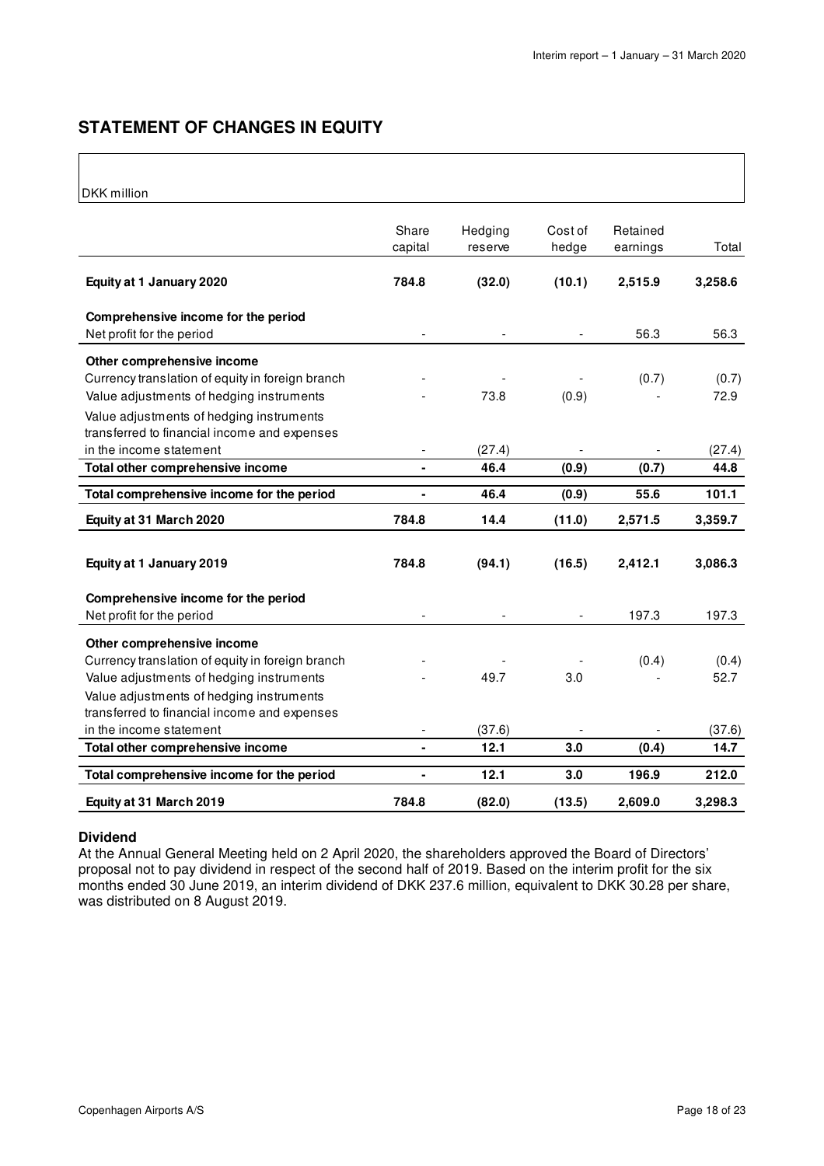### **STATEMENT OF CHANGES IN EQUITY**

### DKK million

| <b>DIAN IIIIIIII</b> UII                                                                                                                                               |                |         |         |          |               |
|------------------------------------------------------------------------------------------------------------------------------------------------------------------------|----------------|---------|---------|----------|---------------|
|                                                                                                                                                                        | Share          | Hedging | Cost of | Retained |               |
|                                                                                                                                                                        | capital        | reserve | hedge   | earnings | Total         |
| Equity at 1 January 2020                                                                                                                                               | 784.8          | (32.0)  | (10.1)  | 2,515.9  | 3,258.6       |
| Comprehensive income for the period<br>Net profit for the period                                                                                                       |                |         |         | 56.3     | 56.3          |
| Other comprehensive income<br>Currency translation of equity in foreign branch<br>Value adjustments of hedging instruments<br>Value adjustments of hedging instruments |                | 73.8    | (0.9)   | (0.7)    | (0.7)<br>72.9 |
| transferred to financial income and expenses<br>in the income statement                                                                                                |                | (27.4)  |         |          | (27.4)        |
| Total other comprehensive income                                                                                                                                       | $\blacksquare$ | 46.4    | (0.9)   | (0.7)    | 44.8          |
| Total comprehensive income for the period                                                                                                                              | $\blacksquare$ | 46.4    | (0.9)   | 55.6     | 101.1         |
|                                                                                                                                                                        |                |         |         |          |               |
| Equity at 31 March 2020                                                                                                                                                | 784.8          | 14.4    | (11.0)  | 2,571.5  | 3,359.7       |
| Equity at 1 January 2019                                                                                                                                               | 784.8          | (94.1)  | (16.5)  | 2,412.1  | 3,086.3       |
| Comprehensive income for the period<br>Net profit for the period                                                                                                       |                |         |         | 197.3    | 197.3         |
| Other comprehensive income<br>Currency translation of equity in foreign branch<br>Value adjustments of hedging instruments<br>Value adjustments of hedging instruments |                | 49.7    | 3.0     | (0.4)    | (0.4)<br>52.7 |
| transferred to financial income and expenses<br>in the income statement                                                                                                |                | (37.6)  |         |          | (37.6)        |
| Total other comprehensive income                                                                                                                                       |                | 12.1    | 3.0     | (0.4)    | 14.7          |
| Total comprehensive income for the period                                                                                                                              | $\blacksquare$ | 12.1    | 3.0     | 196.9    | 212.0         |

### **Dividend**

At the Annual General Meeting held on 2 April 2020, the shareholders approved the Board of Directors' proposal not to pay dividend in respect of the second half of 2019. Based on the interim profit for the six months ended 30 June 2019, an interim dividend of DKK 237.6 million, equivalent to DKK 30.28 per share, was distributed on 8 August 2019.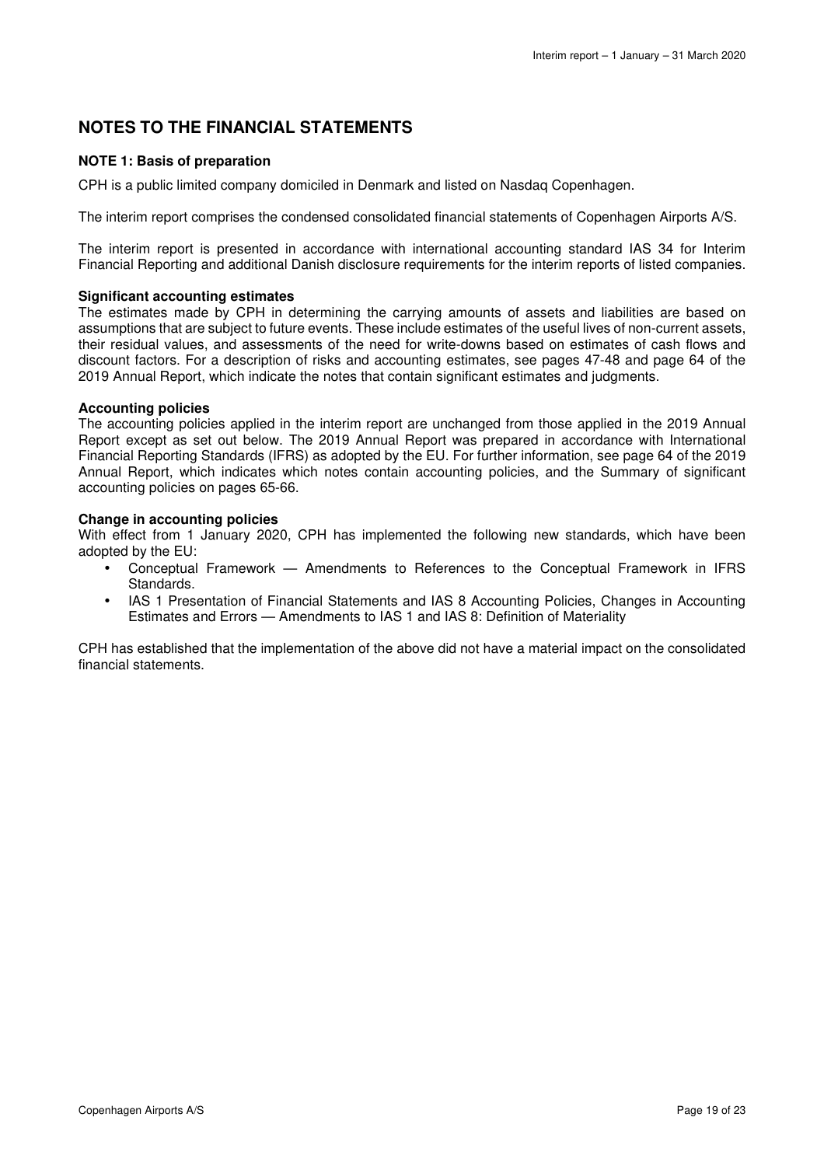### **NOTES TO THE FINANCIAL STATEMENTS**

### **NOTE 1: Basis of preparation**

CPH is a public limited company domiciled in Denmark and listed on Nasdaq Copenhagen.

The interim report comprises the condensed consolidated financial statements of Copenhagen Airports A/S.

The interim report is presented in accordance with international accounting standard IAS 34 for Interim Financial Reporting and additional Danish disclosure requirements for the interim reports of listed companies.

### **Significant accounting estimates**

The estimates made by CPH in determining the carrying amounts of assets and liabilities are based on assumptions that are subject to future events. These include estimates of the useful lives of non-current assets, their residual values, and assessments of the need for write-downs based on estimates of cash flows and discount factors. For a description of risks and accounting estimates, see pages 47-48 and page 64 of the 2019 Annual Report, which indicate the notes that contain significant estimates and judgments.

### **Accounting policies**

The accounting policies applied in the interim report are unchanged from those applied in the 2019 Annual Report except as set out below. The 2019 Annual Report was prepared in accordance with International Financial Reporting Standards (IFRS) as adopted by the EU. For further information, see page 64 of the 2019 Annual Report, which indicates which notes contain accounting policies, and the Summary of significant accounting policies on pages 65-66.

### **Change in accounting policies**

With effect from 1 January 2020, CPH has implemented the following new standards, which have been adopted by the EU:

- Conceptual Framework Amendments to References to the Conceptual Framework in IFRS Standards.
- IAS 1 Presentation of Financial Statements and IAS 8 Accounting Policies, Changes in Accounting Estimates and Errors — Amendments to IAS 1 and IAS 8: Definition of Materiality

CPH has established that the implementation of the above did not have a material impact on the consolidated financial statements.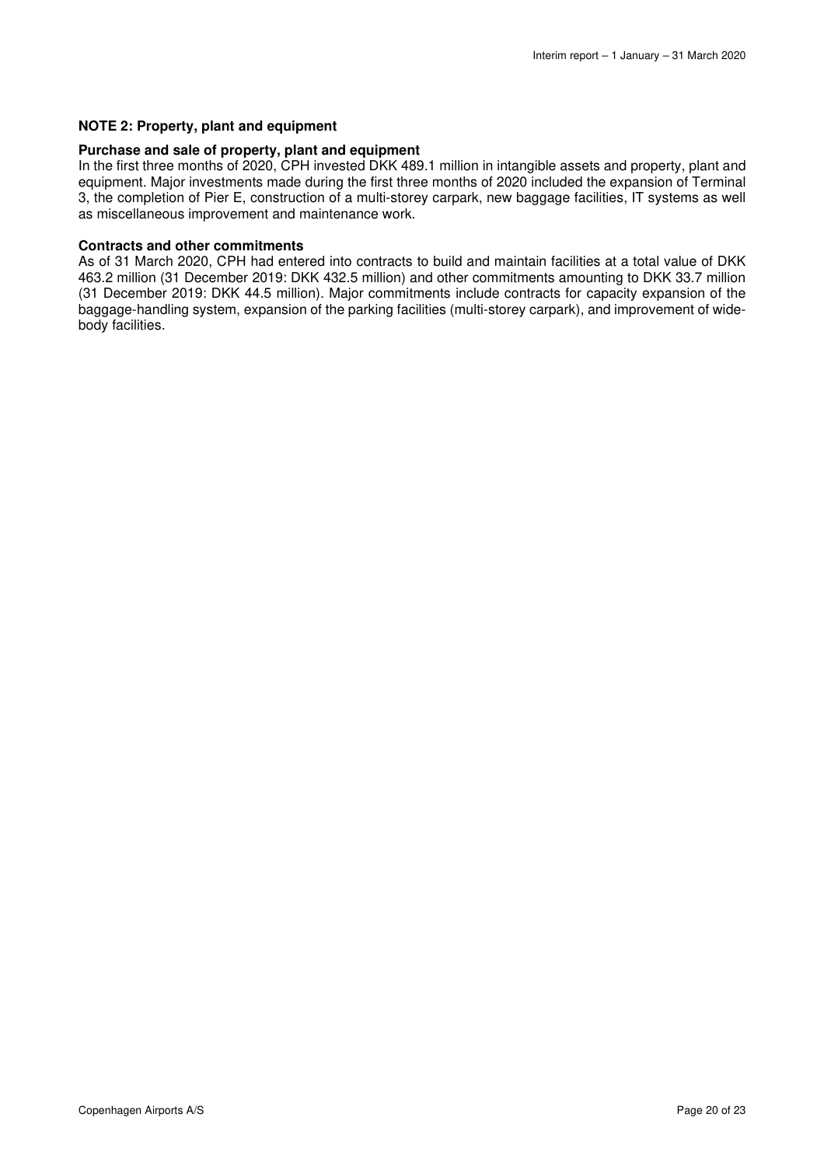### **NOTE 2: Property, plant and equipment**

### **Purchase and sale of property, plant and equipment**

In the first three months of 2020, CPH invested DKK 489.1 million in intangible assets and property, plant and equipment. Major investments made during the first three months of 2020 included the expansion of Terminal 3, the completion of Pier E, construction of a multi-storey carpark, new baggage facilities, IT systems as well as miscellaneous improvement and maintenance work.

#### **Contracts and other commitments**

As of 31 March 2020, CPH had entered into contracts to build and maintain facilities at a total value of DKK 463.2 million (31 December 2019: DKK 432.5 million) and other commitments amounting to DKK 33.7 million (31 December 2019: DKK 44.5 million). Major commitments include contracts for capacity expansion of the baggage-handling system, expansion of the parking facilities (multi-storey carpark), and improvement of widebody facilities.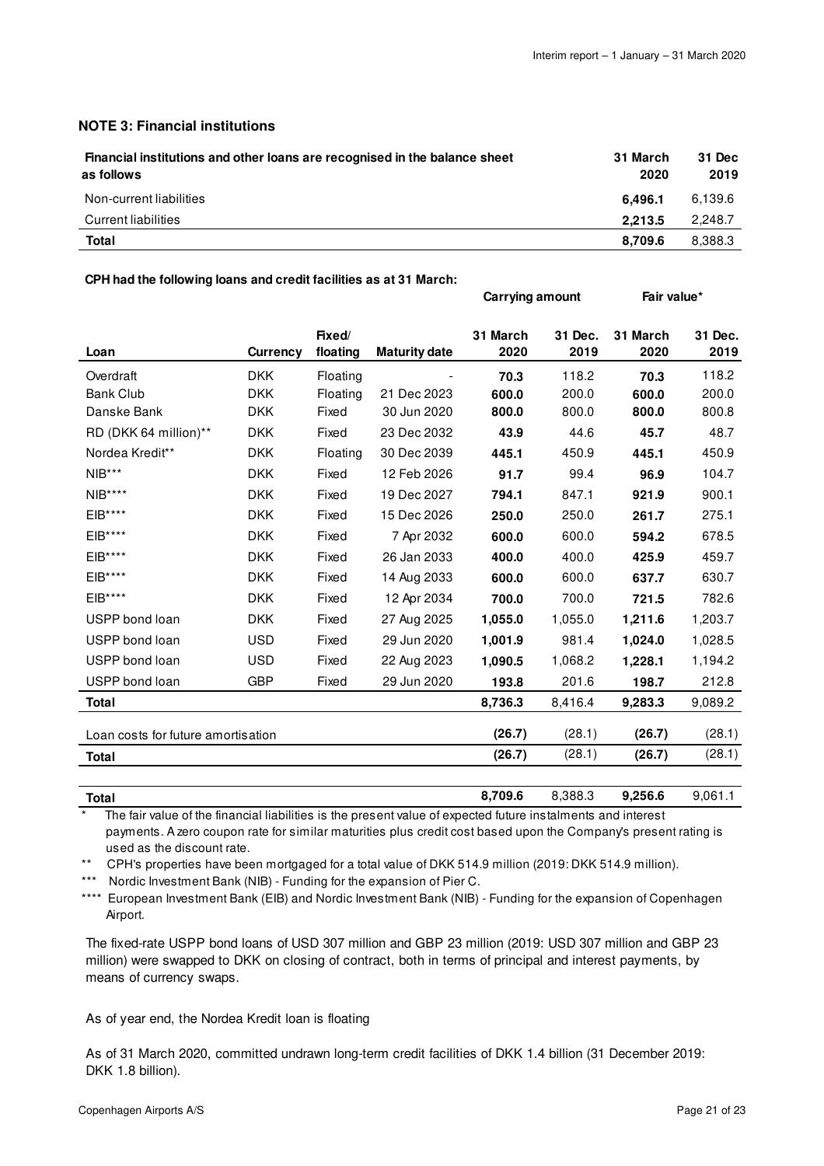**Carrying amount** Fair value\*

### **NOTE 3: Financial institutions**

| Financial institutions and other loans are recognised in the balance sheet<br>as follows | 31 March<br>2020 | 31 Dec<br>2019 |
|------------------------------------------------------------------------------------------|------------------|----------------|
| Non-current liabilities                                                                  | 6.496.1          | 6.139.6        |
| Current liabilities                                                                      | 2.213.5          | 2.248.7        |
| Total                                                                                    | 8.709.6          | 8.388.3        |

#### **CPH had the following loans and credit facilities as at 31 March:**

|                                    |            | Fixed/   |                      | 31 March | 31 Dec. | 31 March | 31 Dec. |
|------------------------------------|------------|----------|----------------------|----------|---------|----------|---------|
| Loan                               | Currency   | floating | <b>Maturity date</b> | 2020     | 2019    | 2020     | 2019    |
| Overdraft                          | <b>DKK</b> | Floating |                      | 70.3     | 118.2   | 70.3     | 118.2   |
| <b>Bank Club</b>                   | <b>DKK</b> | Floating | 21 Dec 2023          | 600.0    | 200.0   | 600.0    | 200.0   |
| Danske Bank                        | <b>DKK</b> | Fixed    | 30 Jun 2020          | 800.0    | 800.0   | 800.0    | 800.8   |
| RD (DKK 64 million)**              | <b>DKK</b> | Fixed    | 23 Dec 2032          | 43.9     | 44.6    | 45.7     | 48.7    |
| Nordea Kredit**                    | <b>DKK</b> | Floating | 30 Dec 2039          | 445.1    | 450.9   | 445.1    | 450.9   |
| $NIB***$                           | <b>DKK</b> | Fixed    | 12 Feb 2026          | 91.7     | 99.4    | 96.9     | 104.7   |
| $NIB***$                           | <b>DKK</b> | Fixed    | 19 Dec 2027          | 794.1    | 847.1   | 921.9    | 900.1   |
| $EIB***$                           | <b>DKK</b> | Fixed    | 15 Dec 2026          | 250.0    | 250.0   | 261.7    | 275.1   |
| $EIB***$                           | <b>DKK</b> | Fixed    | 7 Apr 2032           | 600.0    | 600.0   | 594.2    | 678.5   |
| $EIB***$                           | <b>DKK</b> | Fixed    | 26 Jan 2033          | 400.0    | 400.0   | 425.9    | 459.7   |
| $EIB***$                           | <b>DKK</b> | Fixed    | 14 Aug 2033          | 600.0    | 600.0   | 637.7    | 630.7   |
| $EIB***$                           | <b>DKK</b> | Fixed    | 12 Apr 2034          | 700.0    | 700.0   | 721.5    | 782.6   |
| USPP bond loan                     | <b>DKK</b> | Fixed    | 27 Aug 2025          | 1,055.0  | 1,055.0 | 1,211.6  | 1,203.7 |
| USPP bond loan                     | <b>USD</b> | Fixed    | 29 Jun 2020          | 1,001.9  | 981.4   | 1,024.0  | 1,028.5 |
| USPP bond loan                     | <b>USD</b> | Fixed    | 22 Aug 2023          | 1,090.5  | 1,068.2 | 1,228.1  | 1,194.2 |
| USPP bond loan                     | <b>GBP</b> | Fixed    | 29 Jun 2020          | 193.8    | 201.6   | 198.7    | 212.8   |
| <b>Total</b>                       |            |          |                      | 8,736.3  | 8,416.4 | 9,283.3  | 9,089.2 |
| Loan costs for future amortisation |            |          |                      | (26.7)   | (28.1)  | (26.7)   | (28.1)  |
| <b>Total</b>                       |            |          |                      | (26.7)   | (28.1)  | (26.7)   | (28.1)  |
|                                    |            |          |                      |          |         |          |         |

**Total 8,709.6** 8,388.3 **9,256.6** 9,061.1 The fair value of the financial liabilities is the present value of expected future instalments and interest payments. A zero coupon rate for similar maturities plus credit cost based upon the Company's present rating is used as the discount rate.

\*\* CPH's properties have been mortgaged for a total value of DKK 514.9 million (2019: DKK 514.9 million).

\*\*\* Nordic Investment Bank (NIB) - Funding for the expansion of Pier C.

\*\*\*\* European Investment Bank (EIB) and Nordic Investment Bank (NIB) - Funding for the expansion of Copenhagen Airport.

 The fixed-rate USPP bond loans of USD 307 million and GBP 23 million (2019: USD 307 million and GBP 23 million) were swapped to DKK on closing of contract, both in terms of principal and interest payments, by means of currency swaps.

As of year end, the Nordea Kredit loan is floating

 As of 31 March 2020, committed undrawn long-term credit facilities of DKK 1.4 billion (31 December 2019: DKK 1.8 billion).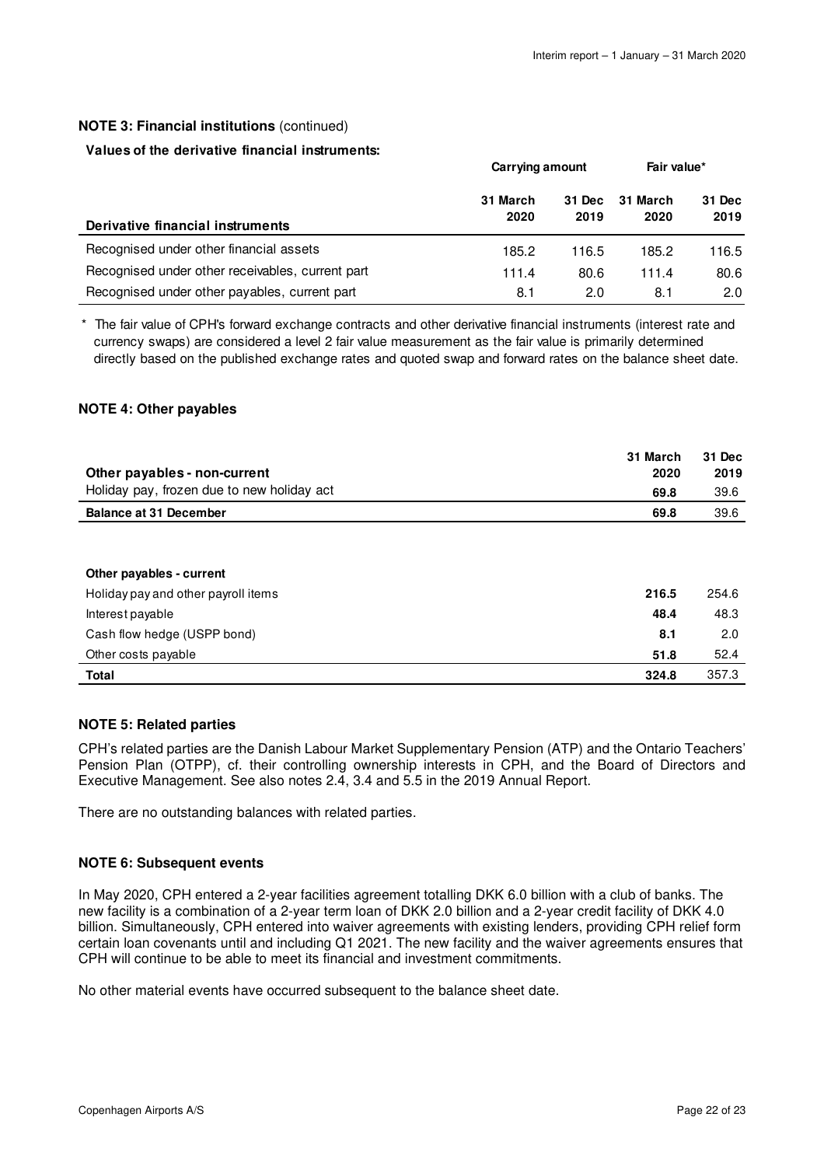### **NOTE 3: Financial institutions** (continued)

### **Values of the derivative financial instruments:**

|                                                  | Carrying amount  |                | Fair value*      |                |
|--------------------------------------------------|------------------|----------------|------------------|----------------|
| Derivative financial instruments                 | 31 March<br>2020 | 31 Dec<br>2019 | 31 March<br>2020 | 31 Dec<br>2019 |
| Recognised under other financial assets          | 185.2            | 116.5          | 185.2            | 116.5          |
| Recognised under other receivables, current part | 111.4            | 80.6           | 111.4            | 80.6           |
| Recognised under other payables, current part    | 8.1              | 2.0            | 8.1              | 2.0            |

\* The fair value of CPH's forward exchange contracts and other derivative financial instruments (interest rate and currency swaps) are considered a level 2 fair value measurement as the fair value is primarily determined directly based on the published exchange rates and quoted swap and forward rates on the balance sheet date.

### **NOTE 4: Other payables**

|                                            | 31 March | 31 Dec |
|--------------------------------------------|----------|--------|
| Other payables - non-current               | 2020     | 2019   |
| Holiday pay, frozen due to new holiday act | 69.8     | 39.6   |
| <b>Balance at 31 December</b>              | 69.8     | 39.6   |
|                                            |          |        |
|                                            |          |        |
| Other payables - current                   |          |        |
| Holiday pay and other payroll items        | 216.5    | 254.6  |
| Interest payable                           | 48.4     | 48.3   |
| Cash flow hedge (USPP bond)                | 8.1      | 2.0    |
| Other costs payable                        | 51.8     | 52.4   |

### **NOTE 5: Related parties**

CPH's related parties are the Danish Labour Market Supplementary Pension (ATP) and the Ontario Teachers' Pension Plan (OTPP), cf. their controlling ownership interests in CPH, and the Board of Directors and Executive Management. See also notes 2.4, 3.4 and 5.5 in the 2019 Annual Report.

**Total 324.8** 357.3

There are no outstanding balances with related parties.

### **NOTE 6: Subsequent events**

In May 2020, CPH entered a 2-year facilities agreement totalling DKK 6.0 billion with a club of banks. The new facility is a combination of a 2-year term loan of DKK 2.0 billion and a 2-year credit facility of DKK 4.0 billion. Simultaneously, CPH entered into waiver agreements with existing lenders, providing CPH relief form certain loan covenants until and including Q1 2021. The new facility and the waiver agreements ensures that CPH will continue to be able to meet its financial and investment commitments.

No other material events have occurred subsequent to the balance sheet date.